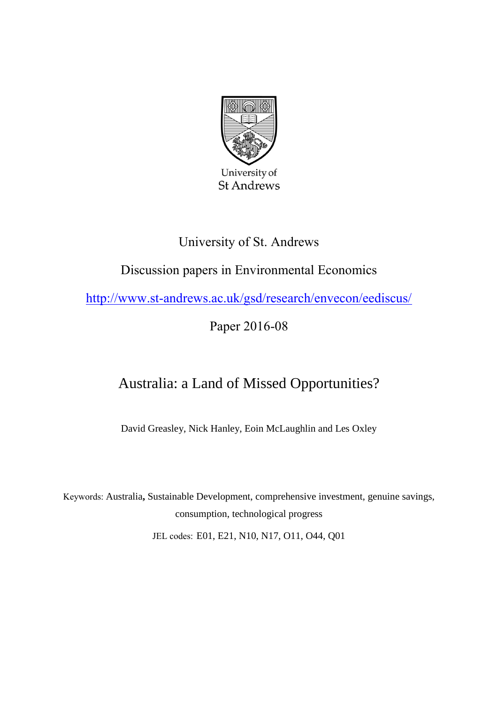

## University of St. Andrews

# Discussion papers in Environmental Economics

<http://www.st-andrews.ac.uk/gsd/research/envecon/eediscus/>

Paper 2016-08

# Australia: a Land of Missed Opportunities?

David Greasley, Nick Hanley, Eoin McLaughlin and Les Oxley

Keywords: Australia**,** Sustainable Development, comprehensive investment, genuine savings, consumption, technological progress

JEL codes: E01, E21, N10, N17, O11, O44, Q01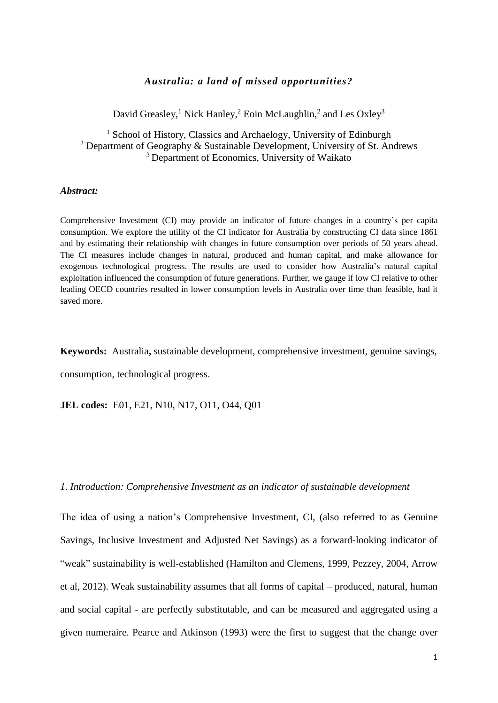## *Australia: a land of missed opportunities?*

David Greasley,<sup>1</sup> Nick Hanley,<sup>2</sup> Eoin McLaughlin,<sup>2</sup> and Les Oxley<sup>3</sup>

<sup>1</sup> School of History, Classics and Archaelogy, University of Edinburgh <sup>2</sup> Department of Geography & Sustainable Development, University of St. Andrews <sup>3</sup> Department of Economics, University of Waikato

#### *Abstract:*

Comprehensive Investment (CI) may provide an indicator of future changes in a country's per capita consumption. We explore the utility of the CI indicator for Australia by constructing CI data since 1861 and by estimating their relationship with changes in future consumption over periods of 50 years ahead. The CI measures include changes in natural, produced and human capital, and make allowance for exogenous technological progress. The results are used to consider how Australia's natural capital exploitation influenced the consumption of future generations. Further, we gauge if low CI relative to other leading OECD countries resulted in lower consumption levels in Australia over time than feasible, had it saved more.

**Keywords:** Australia**,** sustainable development, comprehensive investment, genuine savings, consumption, technological progress.

**JEL codes:** E01, E21, N10, N17, O11, O44, Q01

#### *1. Introduction: Comprehensive Investment as an indicator of sustainable development*

The idea of using a nation's Comprehensive Investment, CI, (also referred to as Genuine Savings, Inclusive Investment and Adjusted Net Savings) as a forward-looking indicator of "weak" sustainability is well-established (Hamilton and Clemens, 1999, Pezzey, 2004, Arrow et al, 2012). Weak sustainability assumes that all forms of capital – produced, natural, human and social capital - are perfectly substitutable, and can be measured and aggregated using a given numeraire. Pearce and Atkinson (1993) were the first to suggest that the change over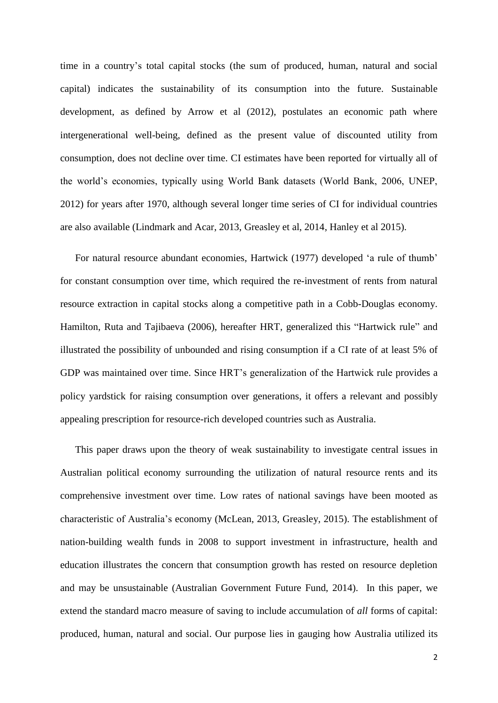time in a country's total capital stocks (the sum of produced, human, natural and social capital) indicates the sustainability of its consumption into the future. Sustainable development, as defined by Arrow et al (2012), postulates an economic path where intergenerational well-being, defined as the present value of discounted utility from consumption, does not decline over time. CI estimates have been reported for virtually all of the world's economies, typically using World Bank datasets (World Bank, 2006, UNEP, 2012) for years after 1970, although several longer time series of CI for individual countries are also available (Lindmark and Acar, 2013, Greasley et al, 2014, Hanley et al 2015).

For natural resource abundant economies, Hartwick (1977) developed 'a rule of thumb' for constant consumption over time, which required the re-investment of rents from natural resource extraction in capital stocks along a competitive path in a Cobb-Douglas economy. Hamilton, Ruta and Tajibaeva (2006), hereafter HRT, generalized this "Hartwick rule" and illustrated the possibility of unbounded and rising consumption if a CI rate of at least 5% of GDP was maintained over time. Since HRT's generalization of the Hartwick rule provides a policy yardstick for raising consumption over generations, it offers a relevant and possibly appealing prescription for resource-rich developed countries such as Australia.

This paper draws upon the theory of weak sustainability to investigate central issues in Australian political economy surrounding the utilization of natural resource rents and its comprehensive investment over time. Low rates of national savings have been mooted as characteristic of Australia's economy (McLean, 2013, Greasley, 2015). The establishment of nation-building wealth funds in 2008 to support investment in infrastructure, health and education illustrates the concern that consumption growth has rested on resource depletion and may be unsustainable (Australian Government Future Fund, 2014). In this paper, we extend the standard macro measure of saving to include accumulation of *all* forms of capital: produced, human, natural and social. Our purpose lies in gauging how Australia utilized its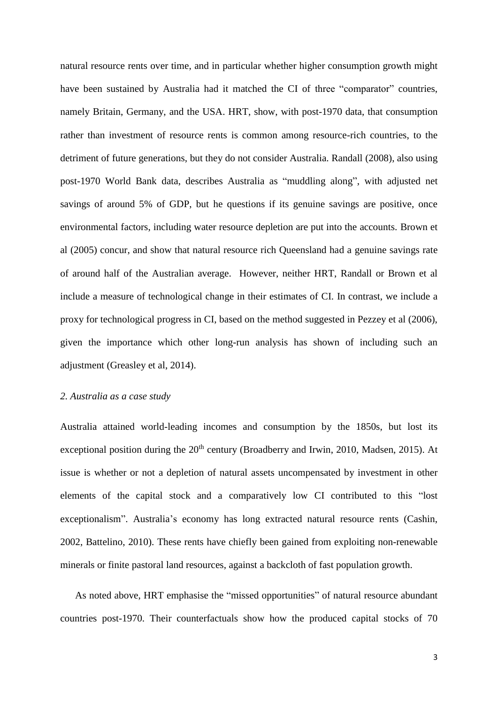natural resource rents over time, and in particular whether higher consumption growth might have been sustained by Australia had it matched the CI of three "comparator" countries, namely Britain, Germany, and the USA. HRT, show, with post-1970 data, that consumption rather than investment of resource rents is common among resource-rich countries, to the detriment of future generations, but they do not consider Australia. Randall (2008), also using post-1970 World Bank data, describes Australia as "muddling along", with adjusted net savings of around 5% of GDP, but he questions if its genuine savings are positive, once environmental factors, including water resource depletion are put into the accounts. Brown et al (2005) concur, and show that natural resource rich Queensland had a genuine savings rate of around half of the Australian average. However, neither HRT, Randall or Brown et al include a measure of technological change in their estimates of CI. In contrast, we include a proxy for technological progress in CI, based on the method suggested in Pezzey et al (2006), given the importance which other long-run analysis has shown of including such an adjustment (Greasley et al, 2014).

#### *2. Australia as a case study*

Australia attained world-leading incomes and consumption by the 1850s, but lost its exceptional position during the  $20<sup>th</sup>$  century (Broadberry and Irwin, 2010, Madsen, 2015). At issue is whether or not a depletion of natural assets uncompensated by investment in other elements of the capital stock and a comparatively low CI contributed to this "lost exceptionalism". Australia's economy has long extracted natural resource rents (Cashin, 2002, Battelino, 2010). These rents have chiefly been gained from exploiting non-renewable minerals or finite pastoral land resources, against a backcloth of fast population growth.

As noted above, HRT emphasise the "missed opportunities" of natural resource abundant countries post-1970. Their counterfactuals show how the produced capital stocks of 70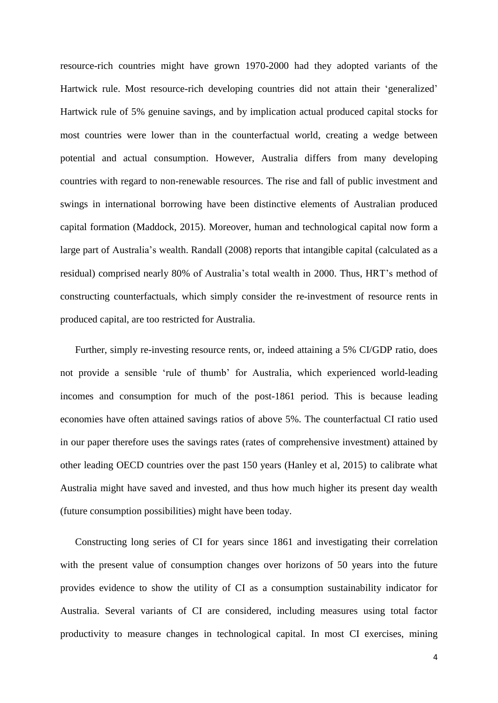resource-rich countries might have grown 1970-2000 had they adopted variants of the Hartwick rule. Most resource-rich developing countries did not attain their 'generalized' Hartwick rule of 5% genuine savings, and by implication actual produced capital stocks for most countries were lower than in the counterfactual world, creating a wedge between potential and actual consumption. However, Australia differs from many developing countries with regard to non-renewable resources. The rise and fall of public investment and swings in international borrowing have been distinctive elements of Australian produced capital formation (Maddock, 2015). Moreover, human and technological capital now form a large part of Australia's wealth. Randall (2008) reports that intangible capital (calculated as a residual) comprised nearly 80% of Australia's total wealth in 2000. Thus, HRT's method of constructing counterfactuals, which simply consider the re-investment of resource rents in produced capital, are too restricted for Australia.

Further, simply re-investing resource rents, or, indeed attaining a 5% CI/GDP ratio, does not provide a sensible 'rule of thumb' for Australia, which experienced world-leading incomes and consumption for much of the post-1861 period. This is because leading economies have often attained savings ratios of above 5%. The counterfactual CI ratio used in our paper therefore uses the savings rates (rates of comprehensive investment) attained by other leading OECD countries over the past 150 years (Hanley et al, 2015) to calibrate what Australia might have saved and invested, and thus how much higher its present day wealth (future consumption possibilities) might have been today.

Constructing long series of CI for years since 1861 and investigating their correlation with the present value of consumption changes over horizons of 50 years into the future provides evidence to show the utility of CI as a consumption sustainability indicator for Australia. Several variants of CI are considered, including measures using total factor productivity to measure changes in technological capital. In most CI exercises, mining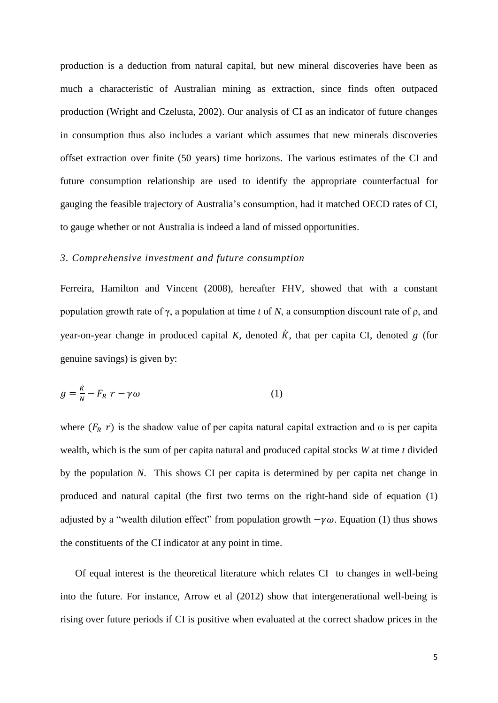production is a deduction from natural capital, but new mineral discoveries have been as much a characteristic of Australian mining as extraction, since finds often outpaced production (Wright and Czelusta, 2002). Our analysis of CI as an indicator of future changes in consumption thus also includes a variant which assumes that new minerals discoveries offset extraction over finite (50 years) time horizons. The various estimates of the CI and future consumption relationship are used to identify the appropriate counterfactual for gauging the feasible trajectory of Australia's consumption, had it matched OECD rates of CI, to gauge whether or not Australia is indeed a land of missed opportunities.

#### *3. Comprehensive investment and future consumption*

Ferreira, Hamilton and Vincent (2008), hereafter FHV, showed that with a constant population growth rate of γ, a population at time *t* of *N*, a consumption discount rate of ρ, and year-on-year change in produced capital  $K$ , denoted  $\dot{K}$ , that per capita CI, denoted  $g$  (for genuine savings) is given by:

$$
g = \frac{\dot{\kappa}}{N} - F_R \ r - \gamma \omega \tag{1}
$$

where  $(F_R r)$  is the shadow value of per capita natural capital extraction and  $\omega$  is per capita wealth, which is the sum of per capita natural and produced capital stocks *W* at time *t* divided by the population *N*. This shows CI per capita is determined by per capita net change in produced and natural capital (the first two terms on the right-hand side of equation (1) adjusted by a "wealth dilution effect" from population growth  $-\gamma\omega$ . Equation (1) thus shows the constituents of the CI indicator at any point in time.

Of equal interest is the theoretical literature which relates CI to changes in well-being into the future. For instance, Arrow et al (2012) show that intergenerational well-being is rising over future periods if CI is positive when evaluated at the correct shadow prices in the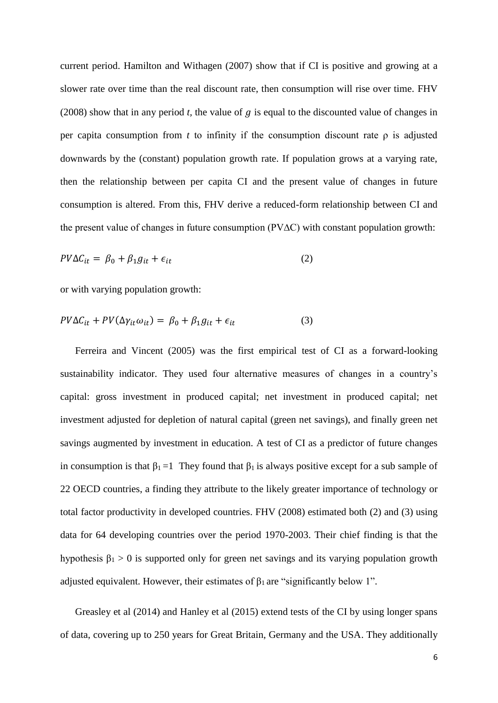current period. Hamilton and Withagen (2007) show that if CI is positive and growing at a slower rate over time than the real discount rate, then consumption will rise over time. FHV (2008) show that in any period *t*, the value of  $q$  is equal to the discounted value of changes in per capita consumption from *t* to infinity if the consumption discount rate ρ is adjusted downwards by the (constant) population growth rate. If population grows at a varying rate, then the relationship between per capita CI and the present value of changes in future consumption is altered. From this, FHV derive a reduced-form relationship between CI and the present value of changes in future consumption (PV∆C) with constant population growth:

$$
PV\Delta C_{it} = \beta_0 + \beta_1 g_{it} + \epsilon_{it} \tag{2}
$$

or with varying population growth:

$$
PV\Delta C_{it} + PV(\Delta \gamma_{it}\omega_{it}) = \beta_0 + \beta_1 g_{it} + \epsilon_{it}
$$
\n(3)

Ferreira and Vincent (2005) was the first empirical test of CI as a forward-looking sustainability indicator. They used four alternative measures of changes in a country's capital: gross investment in produced capital; net investment in produced capital; net investment adjusted for depletion of natural capital (green net savings), and finally green net savings augmented by investment in education. A test of CI as a predictor of future changes in consumption is that  $\beta_1 = 1$  They found that  $\beta_1$  is always positive except for a sub sample of 22 OECD countries, a finding they attribute to the likely greater importance of technology or total factor productivity in developed countries. FHV (2008) estimated both (2) and (3) using data for 64 developing countries over the period 1970-2003. Their chief finding is that the hypothesis  $\beta_1 > 0$  is supported only for green net savings and its varying population growth adjusted equivalent. However, their estimates of  $\beta_1$  are "significantly below 1".

Greasley et al (2014) and Hanley et al (2015) extend tests of the CI by using longer spans of data, covering up to 250 years for Great Britain, Germany and the USA. They additionally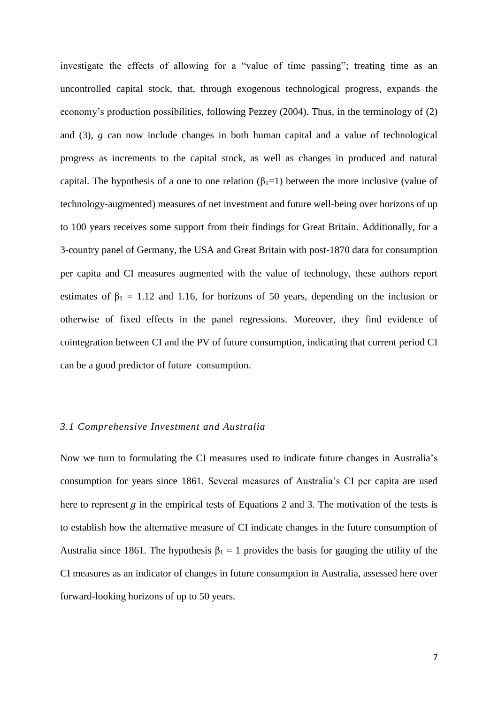investigate the effects of allowing for a "value of time passing"; treating time as an uncontrolled capital stock, that, through exogenous technological progress, expands the economy's production possibilities, following Pezzey (2004). Thus, in the terminology of (2) and (3), *g* can now include changes in both human capital and a value of technological progress as increments to the capital stock, as well as changes in produced and natural capital. The hypothesis of a one to one relation  $(\beta_1=1)$  between the more inclusive (value of technology-augmented) measures of net investment and future well-being over horizons of up to 100 years receives some support from their findings for Great Britain. Additionally, for a 3-country panel of Germany, the USA and Great Britain with post-1870 data for consumption per capita and CI measures augmented with the value of technology, these authors report estimates of  $\beta_1 = 1.12$  and 1.16, for horizons of 50 years, depending on the inclusion or otherwise of fixed effects in the panel regressions. Moreover, they find evidence of cointegration between CI and the PV of future consumption, indicating that current period CI can be a good predictor of future consumption.

#### *3.1 Comprehensive Investment and Australia*

Now we turn to formulating the CI measures used to indicate future changes in Australia's consumption for years since 1861. Several measures of Australia's CI per capita are used here to represent  $g$  in the empirical tests of Equations 2 and 3. The motivation of the tests is to establish how the alternative measure of CI indicate changes in the future consumption of Australia since 1861. The hypothesis  $\beta_1 = 1$  provides the basis for gauging the utility of the CI measures as an indicator of changes in future consumption in Australia, assessed here over forward-looking horizons of up to 50 years.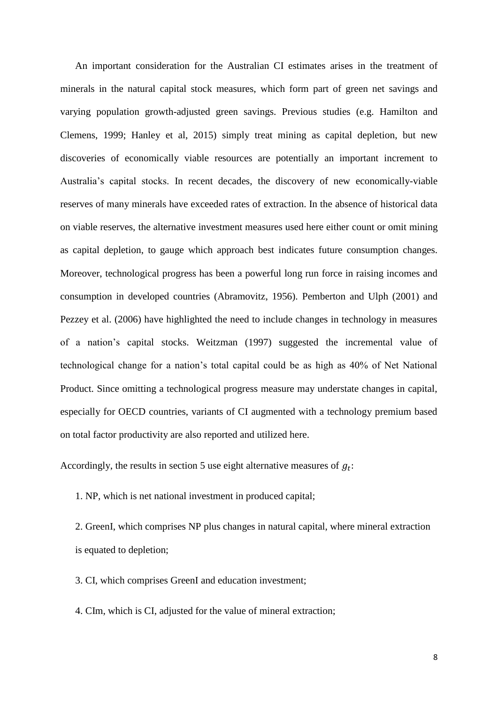An important consideration for the Australian CI estimates arises in the treatment of minerals in the natural capital stock measures, which form part of green net savings and varying population growth-adjusted green savings. Previous studies (e.g. Hamilton and Clemens, 1999; Hanley et al, 2015) simply treat mining as capital depletion, but new discoveries of economically viable resources are potentially an important increment to Australia's capital stocks. In recent decades, the discovery of new economically-viable reserves of many minerals have exceeded rates of extraction. In the absence of historical data on viable reserves, the alternative investment measures used here either count or omit mining as capital depletion, to gauge which approach best indicates future consumption changes. Moreover, technological progress has been a powerful long run force in raising incomes and consumption in developed countries (Abramovitz, 1956). Pemberton and Ulph (2001) and Pezzey et al. (2006) have highlighted the need to include changes in technology in measures of a nation's capital stocks. Weitzman (1997) suggested the incremental value of technological change for a nation's total capital could be as high as 40% of Net National Product. Since omitting a technological progress measure may understate changes in capital, especially for OECD countries, variants of CI augmented with a technology premium based on total factor productivity are also reported and utilized here.

Accordingly, the results in section 5 use eight alternative measures of  $g_t$ :

1. NP, which is net national investment in produced capital;

2. GreenI, which comprises NP plus changes in natural capital, where mineral extraction is equated to depletion;

3. CI, which comprises GreenI and education investment;

4. CIm, which is CI, adjusted for the value of mineral extraction;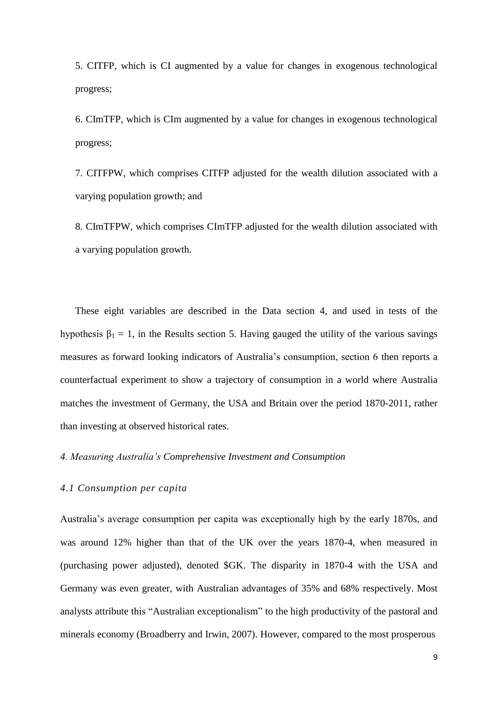5. CITFP, which is CI augmented by a value for changes in exogenous technological progress;

6. CImTFP, which is CIm augmented by a value for changes in exogenous technological progress;

7. CITFPW, which comprises CITFP adjusted for the wealth dilution associated with a varying population growth; and

8. CImTFPW, which comprises CImTFP adjusted for the wealth dilution associated with a varying population growth.

These eight variables are described in the Data section 4, and used in tests of the hypothesis  $\beta_1 = 1$ , in the Results section 5. Having gauged the utility of the various savings measures as forward looking indicators of Australia's consumption, section 6 then reports a counterfactual experiment to show a trajectory of consumption in a world where Australia matches the investment of Germany, the USA and Britain over the period 1870-2011, rather than investing at observed historical rates.

## *4. Measuring Australia's Comprehensive Investment and Consumption*

## *4.1 Consumption per capita*

Australia's average consumption per capita was exceptionally high by the early 1870s, and was around 12% higher than that of the UK over the years 1870-4, when measured in (purchasing power adjusted), denoted \$GK. The disparity in 1870-4 with the USA and Germany was even greater, with Australian advantages of 35% and 68% respectively. Most analysts attribute this "Australian exceptionalism" to the high productivity of the pastoral and minerals economy (Broadberry and Irwin, 2007). However, compared to the most prosperous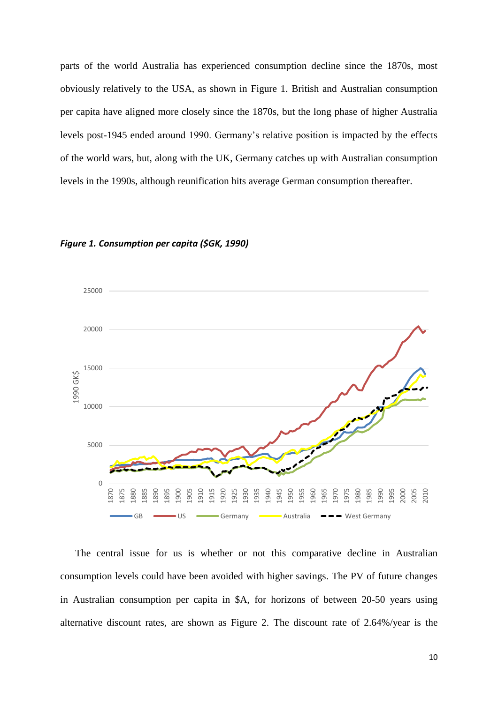parts of the world Australia has experienced consumption decline since the 1870s, most obviously relatively to the USA, as shown in Figure 1. British and Australian consumption per capita have aligned more closely since the 1870s, but the long phase of higher Australia levels post-1945 ended around 1990. Germany's relative position is impacted by the effects of the world wars, but, along with the UK, Germany catches up with Australian consumption levels in the 1990s, although reunification hits average German consumption thereafter.



#### *Figure 1. Consumption per capita (\$GK, 1990)*

The central issue for us is whether or not this comparative decline in Australian consumption levels could have been avoided with higher savings. The PV of future changes in Australian consumption per capita in \$A, for horizons of between 20-50 years using alternative discount rates, are shown as Figure 2. The discount rate of 2.64%/year is the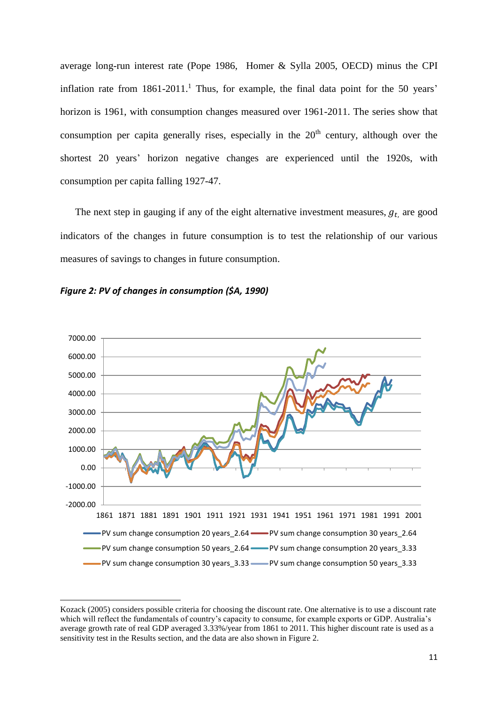average long-run interest rate (Pope 1986, Homer & Sylla 2005, OECD) minus the CPI inflation rate from  $1861-2011$ .<sup>1</sup> Thus, for example, the final data point for the 50 years' horizon is 1961, with consumption changes measured over 1961-2011. The series show that consumption per capita generally rises, especially in the  $20<sup>th</sup>$  century, although over the shortest 20 years' horizon negative changes are experienced until the 1920s, with consumption per capita falling 1927-47.

The next step in gauging if any of the eight alternative investment measures,  $g_t$  are good indicators of the changes in future consumption is to test the relationship of our various measures of savings to changes in future consumption.





-

Kozack (2005) considers possible criteria for choosing the discount rate. One alternative is to use a discount rate which will reflect the fundamentals of country's capacity to consume, for example exports or GDP. Australia's average growth rate of real GDP averaged 3.33%/year from 1861 to 2011. This higher discount rate is used as a sensitivity test in the Results section, and the data are also shown in Figure 2.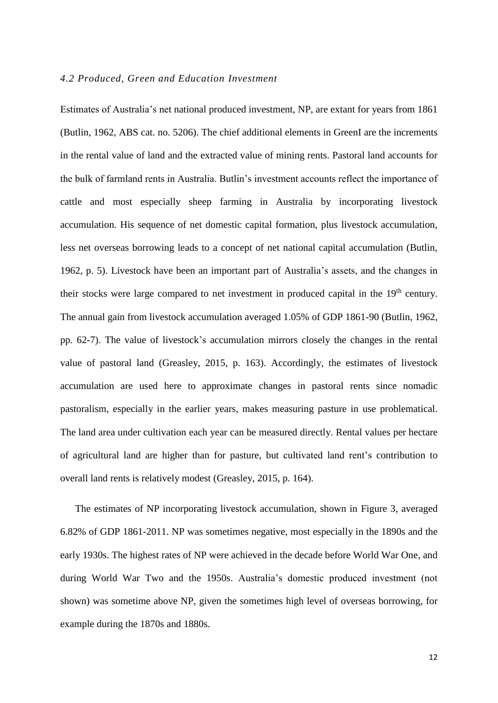## *4.2 Produced, Green and Education Investment*

Estimates of Australia's net national produced investment, NP, are extant for years from 1861 (Butlin, 1962, ABS cat. no. 5206). The chief additional elements in GreenI are the increments in the rental value of land and the extracted value of mining rents. Pastoral land accounts for the bulk of farmland rents in Australia. Butlin's investment accounts reflect the importance of cattle and most especially sheep farming in Australia by incorporating livestock accumulation. His sequence of net domestic capital formation, plus livestock accumulation, less net overseas borrowing leads to a concept of net national capital accumulation (Butlin, 1962, p. 5). Livestock have been an important part of Australia's assets, and the changes in their stocks were large compared to net investment in produced capital in the 19<sup>th</sup> century. The annual gain from livestock accumulation averaged 1.05% of GDP 1861-90 (Butlin, 1962, pp. 62-7). The value of livestock's accumulation mirrors closely the changes in the rental value of pastoral land (Greasley, 2015, p. 163). Accordingly, the estimates of livestock accumulation are used here to approximate changes in pastoral rents since nomadic pastoralism, especially in the earlier years, makes measuring pasture in use problematical. The land area under cultivation each year can be measured directly. Rental values per hectare of agricultural land are higher than for pasture, but cultivated land rent's contribution to overall land rents is relatively modest (Greasley, 2015, p. 164).

The estimates of NP incorporating livestock accumulation, shown in Figure 3, averaged 6.82% of GDP 1861-2011. NP was sometimes negative, most especially in the 1890s and the early 1930s. The highest rates of NP were achieved in the decade before World War One, and during World War Two and the 1950s. Australia's domestic produced investment (not shown) was sometime above NP, given the sometimes high level of overseas borrowing, for example during the 1870s and 1880s.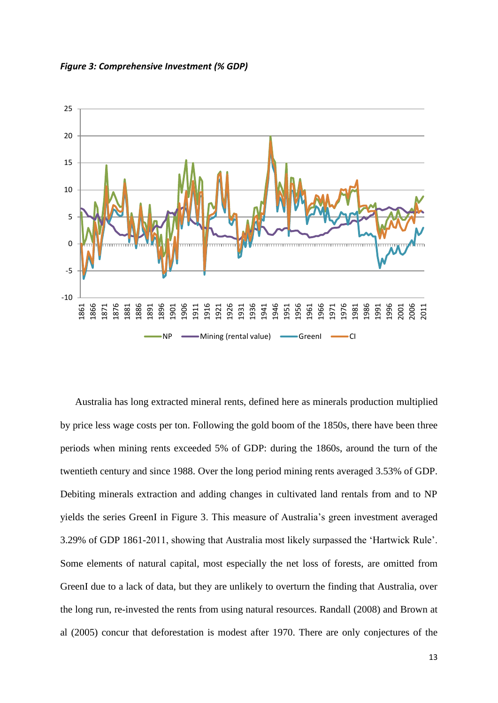*Figure 3: Comprehensive Investment (% GDP)*



Australia has long extracted mineral rents, defined here as minerals production multiplied by price less wage costs per ton. Following the gold boom of the 1850s, there have been three periods when mining rents exceeded 5% of GDP: during the 1860s, around the turn of the twentieth century and since 1988. Over the long period mining rents averaged 3.53% of GDP. Debiting minerals extraction and adding changes in cultivated land rentals from and to NP yields the series GreenI in Figure 3. This measure of Australia's green investment averaged 3.29% of GDP 1861-2011, showing that Australia most likely surpassed the 'Hartwick Rule'. Some elements of natural capital, most especially the net loss of forests, are omitted from GreenI due to a lack of data, but they are unlikely to overturn the finding that Australia, over the long run, re-invested the rents from using natural resources. Randall (2008) and Brown at al (2005) concur that deforestation is modest after 1970. There are only conjectures of the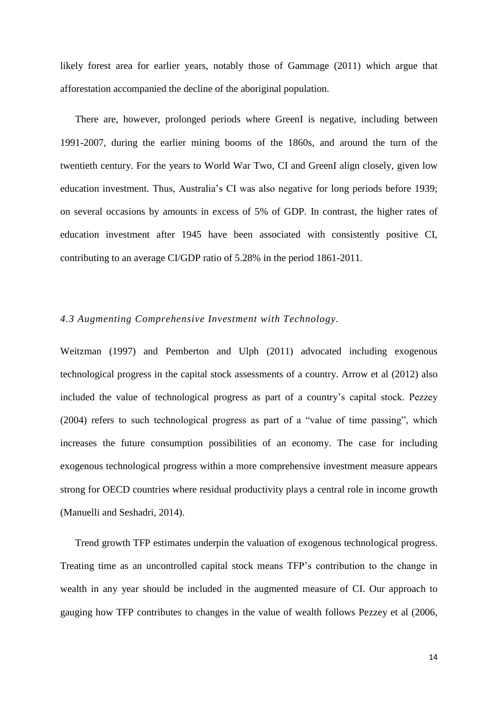likely forest area for earlier years, notably those of Gammage (2011) which argue that afforestation accompanied the decline of the aboriginal population.

There are, however, prolonged periods where GreenI is negative, including between 1991-2007, during the earlier mining booms of the 1860s, and around the turn of the twentieth century. For the years to World War Two, CI and GreenI align closely, given low education investment. Thus, Australia's CI was also negative for long periods before 1939; on several occasions by amounts in excess of 5% of GDP. In contrast, the higher rates of education investment after 1945 have been associated with consistently positive CI, contributing to an average CI/GDP ratio of 5.28% in the period 1861-2011.

### *4.3 Augmenting Comprehensive Investment with Technology.*

Weitzman (1997) and Pemberton and Ulph (2011) advocated including exogenous technological progress in the capital stock assessments of a country. Arrow et al (2012) also included the value of technological progress as part of a country's capital stock. Pezzey (2004) refers to such technological progress as part of a "value of time passing", which increases the future consumption possibilities of an economy. The case for including exogenous technological progress within a more comprehensive investment measure appears strong for OECD countries where residual productivity plays a central role in income growth (Manuelli and Seshadri, 2014).

Trend growth TFP estimates underpin the valuation of exogenous technological progress. Treating time as an uncontrolled capital stock means TFP's contribution to the change in wealth in any year should be included in the augmented measure of CI. Our approach to gauging how TFP contributes to changes in the value of wealth follows Pezzey et al (2006,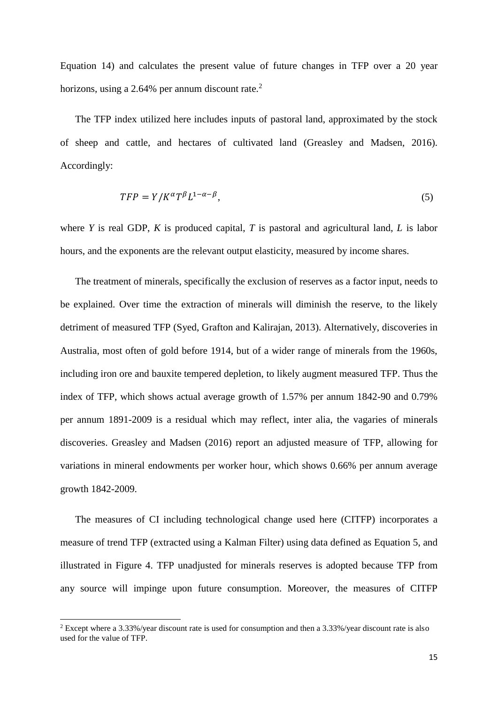Equation 14) and calculates the present value of future changes in TFP over a 20 year horizons, using a 2.64% per annum discount rate. $2$ 

The TFP index utilized here includes inputs of pastoral land, approximated by the stock of sheep and cattle, and hectares of cultivated land (Greasley and Madsen, 2016). Accordingly:

$$
TFP = Y/K^{\alpha}T^{\beta}L^{1-\alpha-\beta},\tag{5}
$$

where *Y* is real GDP, *K* is produced capital, *T* is pastoral and agricultural land, *L* is labor hours, and the exponents are the relevant output elasticity, measured by income shares.

The treatment of minerals, specifically the exclusion of reserves as a factor input, needs to be explained. Over time the extraction of minerals will diminish the reserve, to the likely detriment of measured TFP (Syed, Grafton and Kalirajan, 2013). Alternatively, discoveries in Australia, most often of gold before 1914, but of a wider range of minerals from the 1960s, including iron ore and bauxite tempered depletion, to likely augment measured TFP. Thus the index of TFP, which shows actual average growth of 1.57% per annum 1842-90 and 0.79% per annum 1891-2009 is a residual which may reflect, inter alia, the vagaries of minerals discoveries. Greasley and Madsen (2016) report an adjusted measure of TFP, allowing for variations in mineral endowments per worker hour, which shows 0.66% per annum average growth 1842-2009.

The measures of CI including technological change used here (CITFP) incorporates a measure of trend TFP (extracted using a Kalman Filter) using data defined as Equation 5, and illustrated in Figure 4. TFP unadjusted for minerals reserves is adopted because TFP from any source will impinge upon future consumption. Moreover, the measures of CITFP

-

<sup>2</sup> Except where a 3.33%/year discount rate is used for consumption and then a 3.33%/year discount rate is also used for the value of TFP.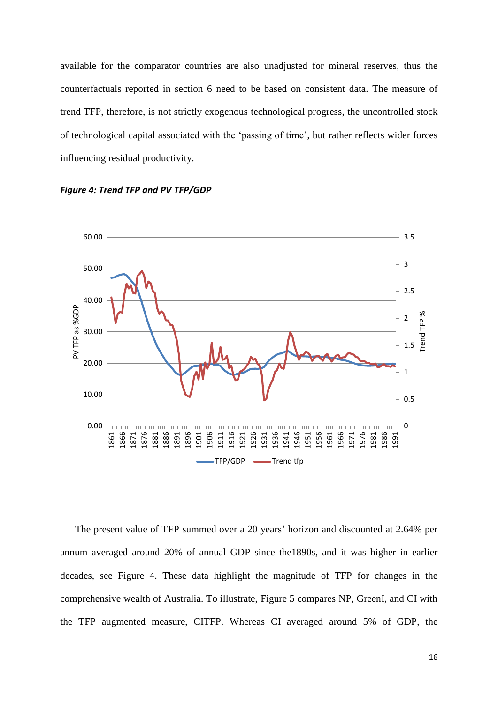available for the comparator countries are also unadjusted for mineral reserves, thus the counterfactuals reported in section 6 need to be based on consistent data. The measure of trend TFP, therefore, is not strictly exogenous technological progress, the uncontrolled stock of technological capital associated with the 'passing of time', but rather reflects wider forces influencing residual productivity.





The present value of TFP summed over a 20 years' horizon and discounted at 2.64% per annum averaged around 20% of annual GDP since the1890s, and it was higher in earlier decades, see Figure 4. These data highlight the magnitude of TFP for changes in the comprehensive wealth of Australia. To illustrate, Figure 5 compares NP, GreenI, and CI with the TFP augmented measure, CITFP. Whereas CI averaged around 5% of GDP, the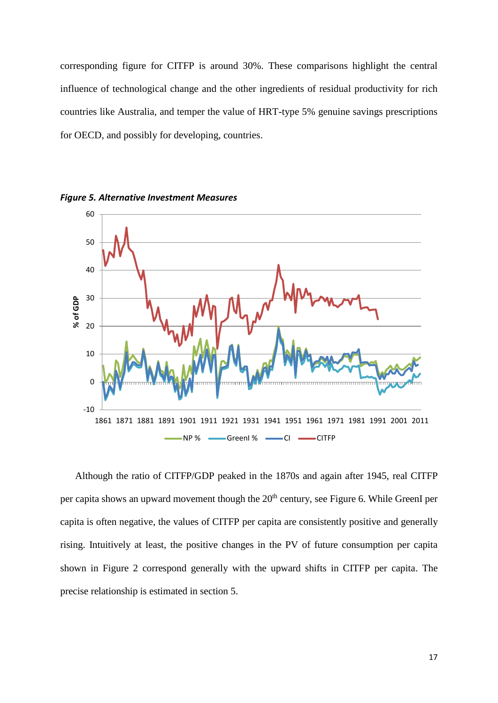corresponding figure for CITFP is around 30%. These comparisons highlight the central influence of technological change and the other ingredients of residual productivity for rich countries like Australia, and temper the value of HRT-type 5% genuine savings prescriptions for OECD, and possibly for developing, countries.



*Figure 5. Alternative Investment Measures*

Although the ratio of CITFP/GDP peaked in the 1870s and again after 1945, real CITFP per capita shows an upward movement though the  $20<sup>th</sup>$  century, see Figure 6. While GreenI per capita is often negative, the values of CITFP per capita are consistently positive and generally rising. Intuitively at least, the positive changes in the PV of future consumption per capita shown in Figure 2 correspond generally with the upward shifts in CITFP per capita. The precise relationship is estimated in section 5.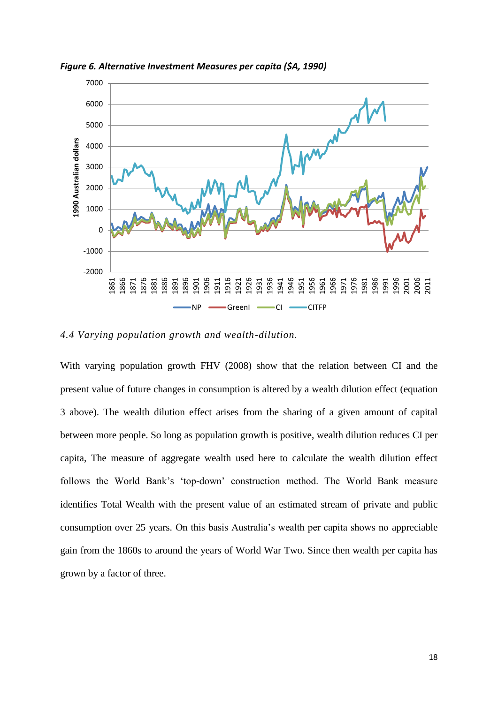

*Figure 6. Alternative Investment Measures per capita (\$A, 1990)*

*4.4 Varying population growth and wealth-dilution.*

With varying population growth FHV (2008) show that the relation between CI and the present value of future changes in consumption is altered by a wealth dilution effect (equation 3 above). The wealth dilution effect arises from the sharing of a given amount of capital between more people. So long as population growth is positive, wealth dilution reduces CI per capita, The measure of aggregate wealth used here to calculate the wealth dilution effect follows the World Bank's 'top-down' construction method. The World Bank measure identifies Total Wealth with the present value of an estimated stream of private and public consumption over 25 years. On this basis Australia's wealth per capita shows no appreciable gain from the 1860s to around the years of World War Two. Since then wealth per capita has grown by a factor of three.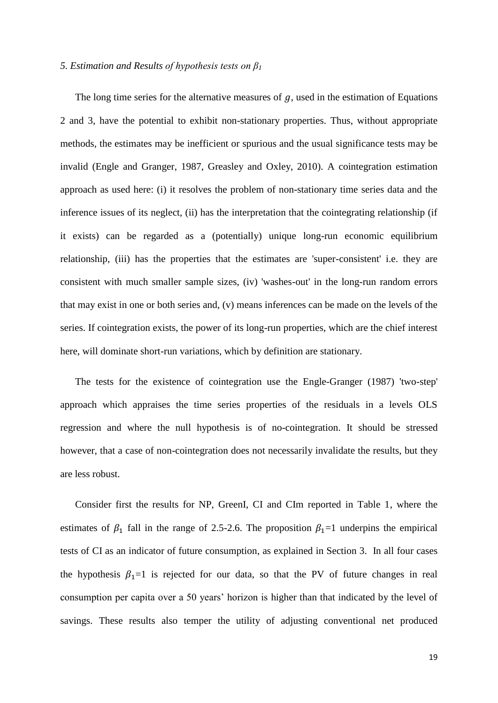#### *5. Estimation and Results of hypothesis tests on β<sup>1</sup>*

The long time series for the alternative measures of  $q$ , used in the estimation of Equations 2 and 3, have the potential to exhibit non-stationary properties. Thus, without appropriate methods, the estimates may be inefficient or spurious and the usual significance tests may be invalid (Engle and Granger, 1987, Greasley and Oxley, 2010). A cointegration estimation approach as used here: (i) it resolves the problem of non-stationary time series data and the inference issues of its neglect, (ii) has the interpretation that the cointegrating relationship (if it exists) can be regarded as a (potentially) unique long-run economic equilibrium relationship, (iii) has the properties that the estimates are 'super-consistent' i.e. they are consistent with much smaller sample sizes, (iv) 'washes-out' in the long-run random errors that may exist in one or both series and, (v) means inferences can be made on the levels of the series. If cointegration exists, the power of its long-run properties, which are the chief interest here, will dominate short-run variations, which by definition are stationary.

The tests for the existence of cointegration use the Engle-Granger (1987) 'two-step' approach which appraises the time series properties of the residuals in a levels OLS regression and where the null hypothesis is of no-cointegration. It should be stressed however, that a case of non-cointegration does not necessarily invalidate the results, but they are less robust.

Consider first the results for NP, GreenI, CI and CIm reported in Table 1, where the estimates of  $\beta_1$  fall in the range of 2.5-2.6. The proposition  $\beta_1=1$  underpins the empirical tests of CI as an indicator of future consumption, as explained in Section 3. In all four cases the hypothesis  $\beta_1=1$  is rejected for our data, so that the PV of future changes in real consumption per capita over a 50 years' horizon is higher than that indicated by the level of savings. These results also temper the utility of adjusting conventional net produced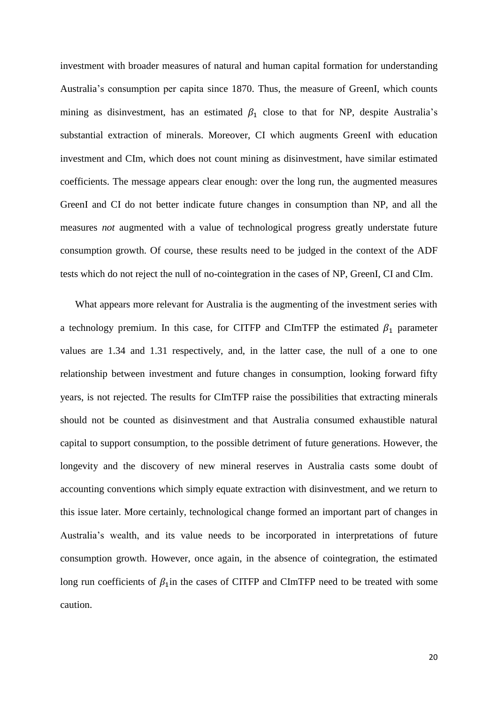investment with broader measures of natural and human capital formation for understanding Australia's consumption per capita since 1870. Thus, the measure of GreenI, which counts mining as disinvestment, has an estimated  $\beta_1$  close to that for NP, despite Australia's substantial extraction of minerals. Moreover, CI which augments GreenI with education investment and CIm, which does not count mining as disinvestment, have similar estimated coefficients. The message appears clear enough: over the long run, the augmented measures GreenI and CI do not better indicate future changes in consumption than NP, and all the measures *not* augmented with a value of technological progress greatly understate future consumption growth. Of course, these results need to be judged in the context of the ADF tests which do not reject the null of no-cointegration in the cases of NP, GreenI, CI and CIm.

What appears more relevant for Australia is the augmenting of the investment series with a technology premium. In this case, for CITFP and CImTFP the estimated  $\beta_1$  parameter values are 1.34 and 1.31 respectively, and, in the latter case, the null of a one to one relationship between investment and future changes in consumption, looking forward fifty years, is not rejected. The results for CImTFP raise the possibilities that extracting minerals should not be counted as disinvestment and that Australia consumed exhaustible natural capital to support consumption, to the possible detriment of future generations. However, the longevity and the discovery of new mineral reserves in Australia casts some doubt of accounting conventions which simply equate extraction with disinvestment, and we return to this issue later. More certainly, technological change formed an important part of changes in Australia's wealth, and its value needs to be incorporated in interpretations of future consumption growth. However, once again, in the absence of cointegration, the estimated long run coefficients of  $\beta_1$ in the cases of CITFP and CImTFP need to be treated with some caution.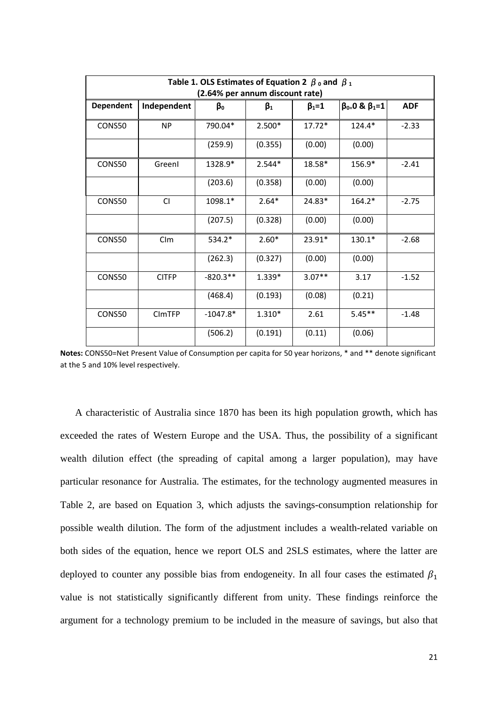| Table 1. OLS Estimates of Equation 2 $\beta$ o and $\beta_1$<br>(2.64% per annum discount rate) |               |            |           |               |               |            |  |  |
|-------------------------------------------------------------------------------------------------|---------------|------------|-----------|---------------|---------------|------------|--|--|
| <b>Dependent</b>                                                                                | Independent   | βο         | $\beta_1$ | $\beta_1 = 1$ | $β0=0 & β1=1$ | <b>ADF</b> |  |  |
| CONS50                                                                                          | <b>NP</b>     | 790.04*    | $2.500*$  | $17.72*$      | $124.4*$      | $-2.33$    |  |  |
|                                                                                                 |               | (259.9)    | (0.355)   | (0.00)        | (0.00)        |            |  |  |
| CONS50                                                                                          | Greenl        | 1328.9*    | $2.544*$  | 18.58*        | $156.9*$      | $-2.41$    |  |  |
|                                                                                                 |               | (203.6)    | (0.358)   | (0.00)        | (0.00)        |            |  |  |
| CONS50                                                                                          | <b>CI</b>     | 1098.1*    | $2.64*$   | 24.83*        | 164.2*        | $-2.75$    |  |  |
|                                                                                                 |               | (207.5)    | (0.328)   | (0.00)        | (0.00)        |            |  |  |
| CONS50                                                                                          | CIm           | $534.2*$   | $2.60*$   | 23.91*        | $130.1*$      | $-2.68$    |  |  |
|                                                                                                 |               | (262.3)    | (0.327)   | (0.00)        | (0.00)        |            |  |  |
| CONS50                                                                                          | <b>CITFP</b>  | $-820.3**$ | 1.339*    | $3.07**$      | 3.17          | $-1.52$    |  |  |
|                                                                                                 |               | (468.4)    | (0.193)   | (0.08)        | (0.21)        |            |  |  |
| CONS50                                                                                          | <b>CIMTFP</b> | $-1047.8*$ | $1.310*$  | 2.61          | $5.45**$      | $-1.48$    |  |  |
|                                                                                                 |               | (506.2)    | (0.191)   | (0.11)        | (0.06)        |            |  |  |

**Notes:** CONS50=Net Present Value of Consumption per capita for 50 year horizons, \* and \*\* denote significant at the 5 and 10% level respectively.

A characteristic of Australia since 1870 has been its high population growth, which has exceeded the rates of Western Europe and the USA. Thus, the possibility of a significant wealth dilution effect (the spreading of capital among a larger population), may have particular resonance for Australia. The estimates, for the technology augmented measures in Table 2, are based on Equation 3, which adjusts the savings-consumption relationship for possible wealth dilution. The form of the adjustment includes a wealth-related variable on both sides of the equation, hence we report OLS and 2SLS estimates, where the latter are deployed to counter any possible bias from endogeneity. In all four cases the estimated  $\beta_1$ value is not statistically significantly different from unity. These findings reinforce the argument for a technology premium to be included in the measure of savings, but also that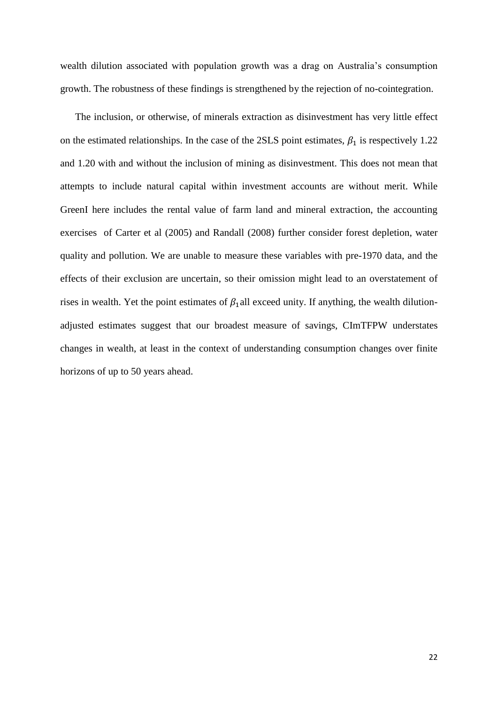wealth dilution associated with population growth was a drag on Australia's consumption growth. The robustness of these findings is strengthened by the rejection of no-cointegration.

The inclusion, or otherwise, of minerals extraction as disinvestment has very little effect on the estimated relationships. In the case of the 2SLS point estimates,  $\beta_1$  is respectively 1.22 and 1.20 with and without the inclusion of mining as disinvestment. This does not mean that attempts to include natural capital within investment accounts are without merit. While GreenI here includes the rental value of farm land and mineral extraction, the accounting exercises of Carter et al (2005) and Randall (2008) further consider forest depletion, water quality and pollution. We are unable to measure these variables with pre-1970 data, and the effects of their exclusion are uncertain, so their omission might lead to an overstatement of rises in wealth. Yet the point estimates of  $\beta_1$ all exceed unity. If anything, the wealth dilutionadjusted estimates suggest that our broadest measure of savings, CImTFPW understates changes in wealth, at least in the context of understanding consumption changes over finite horizons of up to 50 years ahead.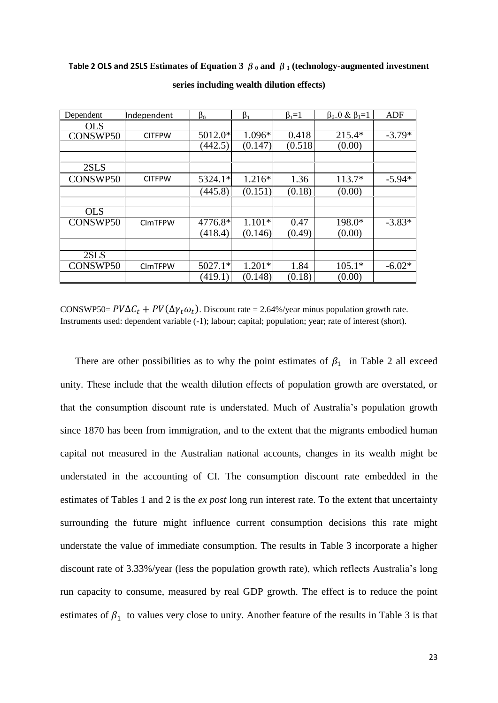#### **Table 2 OLS and 2SLS Estimates of Equation 3**  $\beta_0$  **and**  $\beta_1$  **(technology-augmented investment**

| Dependent  | Independent    | $\beta_0$ | $\beta_1$ | $\beta_1=1$ | $\beta_{0=}0 \& \beta_1=1$ | ADF      |
|------------|----------------|-----------|-----------|-------------|----------------------------|----------|
| <b>OLS</b> |                |           |           |             |                            |          |
| CONSWP50   | <b>CITFPW</b>  | 5012.0*   | $1.096*$  | 0.418       | $215.4*$                   | $-3.79*$ |
|            |                | (442.5)   | (0.147)   | (0.518)     | (0.00)                     |          |
|            |                |           |           |             |                            |          |
| 2SLS       |                |           |           |             |                            |          |
| CONSWP50   | <b>CITFPW</b>  | 5324.1*   | $1.216*$  | 1.36        | $113.7*$                   | $-5.94*$ |
|            |                | (445.8)   | (0.151)   | (0.18)      | (0.00)                     |          |
|            |                |           |           |             |                            |          |
| <b>OLS</b> |                |           |           |             |                            |          |
| CONSWP50   | <b>CIMTFPW</b> | 4776.8*   | $1.101*$  | 0.47        | 198.0*                     | $-3.83*$ |
|            |                | (418.4)   | (0.146)   | (0.49)      | (0.00)                     |          |
|            |                |           |           |             |                            |          |
| 2SLS       |                |           |           |             |                            |          |
| CONSWP50   | <b>CIMTFPW</b> | $5027.1*$ | $1.201*$  | 1.84        | $105.1*$                   | $-6.02*$ |
|            |                | (419.1)   | (0.148)   | (0.18)      | (0.00)                     |          |

**series including wealth dilution effects)**

CONSWP50=  $PV\Delta C_t$  +  $PV(\Delta \gamma_t \omega_t)$ . Discount rate = 2.64%/year minus population growth rate. Instruments used: dependent variable (-1); labour; capital; population; year; rate of interest (short).

There are other possibilities as to why the point estimates of  $\beta_1$  in Table 2 all exceed unity. These include that the wealth dilution effects of population growth are overstated, or that the consumption discount rate is understated. Much of Australia's population growth since 1870 has been from immigration, and to the extent that the migrants embodied human capital not measured in the Australian national accounts, changes in its wealth might be understated in the accounting of CI. The consumption discount rate embedded in the estimates of Tables 1 and 2 is the *ex post* long run interest rate. To the extent that uncertainty surrounding the future might influence current consumption decisions this rate might understate the value of immediate consumption. The results in Table 3 incorporate a higher discount rate of 3.33%/year (less the population growth rate), which reflects Australia's long run capacity to consume, measured by real GDP growth. The effect is to reduce the point estimates of  $\beta_1$  to values very close to unity. Another feature of the results in Table 3 is that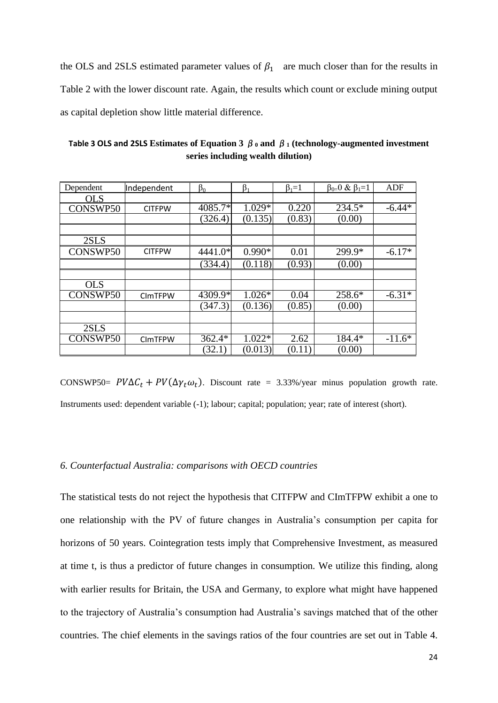the OLS and 2SLS estimated parameter values of  $\beta_1$  are much closer than for the results in Table 2 with the lower discount rate. Again, the results which count or exclude mining output as capital depletion show little material difference.

**Table 3 OLS and 2SLS Estimates of Equation 3**  $\beta_0$  and  $\beta_1$  (technology-augmented investment **series including wealth dilution)**

| Dependent  | Independent    | $\beta_0$ | $\beta_1$ | $\beta_1=1$ | $\beta_{0=}0 \& \beta_1=1$ | ADF      |
|------------|----------------|-----------|-----------|-------------|----------------------------|----------|
| OLS        |                |           |           |             |                            |          |
| CONSWP50   | <b>CITFPW</b>  | 4085.7*   | 1.029*    | 0.220       | 234.5*                     | $-6.44*$ |
|            |                | (326.4)   | (0.135)   | (0.83)      | (0.00)                     |          |
|            |                |           |           |             |                            |          |
| 2SLS       |                |           |           |             |                            |          |
| CONSWP50   | <b>CITFPW</b>  | 4441.0*   | $0.990*$  | 0.01        | 299.9*                     | $-6.17*$ |
|            |                | (334.4)   | (0.118)   | (0.93)      | (0.00)                     |          |
|            |                |           |           |             |                            |          |
| <b>OLS</b> |                |           |           |             |                            |          |
| CONSWP50   | <b>CIMTFPW</b> | 4309.9*   | $1.026*$  | 0.04        | 258.6*                     | $-6.31*$ |
|            |                | (347.3)   | (0.136)   | (0.85)      | (0.00)                     |          |
|            |                |           |           |             |                            |          |
| 2SLS       |                |           |           |             |                            |          |
| CONSWP50   | <b>CIMTFPW</b> | $362.4*$  | $1.022*$  | 2.62        | 184.4*                     | $-11.6*$ |
|            |                | (32.1)    | (0.013)   | (0.11)      | (0.00)                     |          |

CONSWP50=  $PV\Delta C_t$  +  $PV(\Delta \gamma_t \omega_t)$ . Discount rate = 3.33%/year minus population growth rate. Instruments used: dependent variable (-1); labour; capital; population; year; rate of interest (short).

#### *6. Counterfactual Australia: comparisons with OECD countries*

The statistical tests do not reject the hypothesis that CITFPW and CImTFPW exhibit a one to one relationship with the PV of future changes in Australia's consumption per capita for horizons of 50 years. Cointegration tests imply that Comprehensive Investment, as measured at time t, is thus a predictor of future changes in consumption. We utilize this finding, along with earlier results for Britain, the USA and Germany, to explore what might have happened to the trajectory of Australia's consumption had Australia's savings matched that of the other countries. The chief elements in the savings ratios of the four countries are set out in Table 4.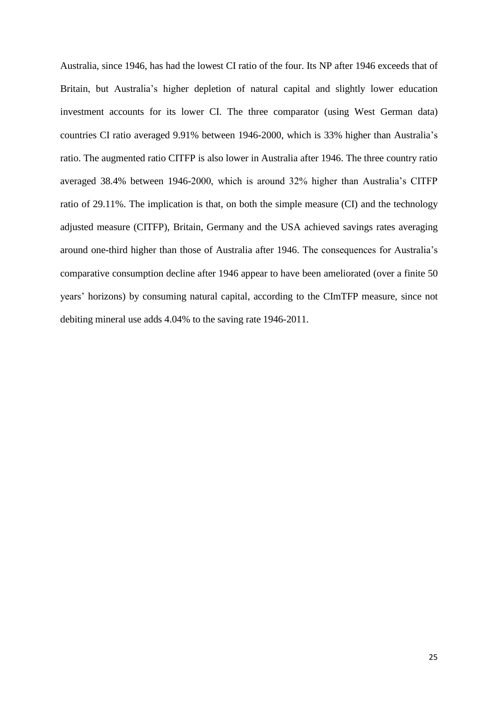Australia, since 1946, has had the lowest CI ratio of the four. Its NP after 1946 exceeds that of Britain, but Australia's higher depletion of natural capital and slightly lower education investment accounts for its lower CI. The three comparator (using West German data) countries CI ratio averaged 9.91% between 1946-2000, which is 33% higher than Australia's ratio. The augmented ratio CITFP is also lower in Australia after 1946. The three country ratio averaged 38.4% between 1946-2000, which is around 32% higher than Australia's CITFP ratio of 29.11%. The implication is that, on both the simple measure (CI) and the technology adjusted measure (CITFP), Britain, Germany and the USA achieved savings rates averaging around one-third higher than those of Australia after 1946. The consequences for Australia's comparative consumption decline after 1946 appear to have been ameliorated (over a finite 50 years' horizons) by consuming natural capital, according to the CImTFP measure, since not debiting mineral use adds 4.04% to the saving rate 1946-2011.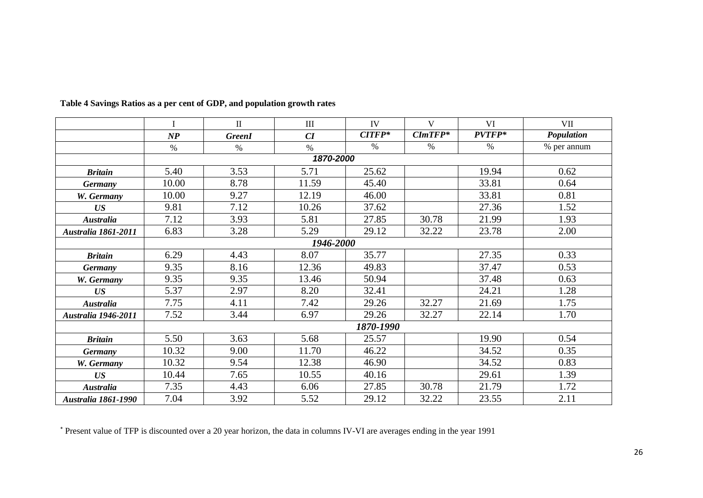|                            | I             | $\rm II$      | III   | IV       | $\mathbf{V}$ | VI     | VII         |  |
|----------------------------|---------------|---------------|-------|----------|--------------|--------|-------------|--|
|                            | $\mathbf{NP}$ | <b>GreenI</b> | CI    | $CITFP*$ | $CImTFP*$    | PVTFP* | Population  |  |
|                            | $\%$          | $\%$          | $\%$  | $\%$     | $\%$         | $\%$   | % per annum |  |
|                            | 1870-2000     |               |       |          |              |        |             |  |
| <b>Britain</b>             | 5.40          | 3.53          | 5.71  | 25.62    |              | 19.94  | 0.62        |  |
| <b>Germany</b>             | 10.00         | 8.78          | 11.59 | 45.40    |              | 33.81  | 0.64        |  |
| W. Germany                 | 10.00         | 9.27          | 12.19 | 46.00    |              | 33.81  | 0.81        |  |
| US                         | 9.81          | 7.12          | 10.26 | 37.62    |              | 27.36  | 1.52        |  |
| <b>Australia</b>           | 7.12          | 3.93          | 5.81  | 27.85    | 30.78        | 21.99  | 1.93        |  |
| <b>Australia 1861-2011</b> | 6.83          | 3.28          | 5.29  | 29.12    | 32.22        | 23.78  | 2.00        |  |
|                            | 1946-2000     |               |       |          |              |        |             |  |
| <b>Britain</b>             | 6.29          | 4.43          | 8.07  | 35.77    |              | 27.35  | 0.33        |  |
| <b>Germany</b>             | 9.35          | 8.16          | 12.36 | 49.83    |              | 37.47  | 0.53        |  |
| W. Germany                 | 9.35          | 9.35          | 13.46 | 50.94    |              | 37.48  | 0.63        |  |
| US                         | 5.37          | 2.97          | 8.20  | 32.41    |              | 24.21  | 1.28        |  |
| <b>Australia</b>           | 7.75          | 4.11          | 7.42  | 29.26    | 32.27        | 21.69  | 1.75        |  |
| <b>Australia 1946-2011</b> | 7.52          | 3.44          | 6.97  | 29.26    | 32.27        | 22.14  | 1.70        |  |
|                            | 1870-1990     |               |       |          |              |        |             |  |
| <b>Britain</b>             | 5.50          | 3.63          | 5.68  | 25.57    |              | 19.90  | 0.54        |  |
| <b>Germany</b>             | 10.32         | 9.00          | 11.70 | 46.22    |              | 34.52  | 0.35        |  |
| W. Germany                 | 10.32         | 9.54          | 12.38 | 46.90    |              | 34.52  | 0.83        |  |
| US                         | 10.44         | 7.65          | 10.55 | 40.16    |              | 29.61  | 1.39        |  |
| <b>Australia</b>           | 7.35          | 4.43          | 6.06  | 27.85    | 30.78        | 21.79  | 1.72        |  |
| <b>Australia 1861-1990</b> | 7.04          | 3.92          | 5.52  | 29.12    | 32.22        | 23.55  | 2.11        |  |

**Table 4 Savings Ratios as a per cent of GDP, and population growth rates**

\* Present value of TFP is discounted over a 20 year horizon, the data in columns IV-VI are averages ending in the year 1991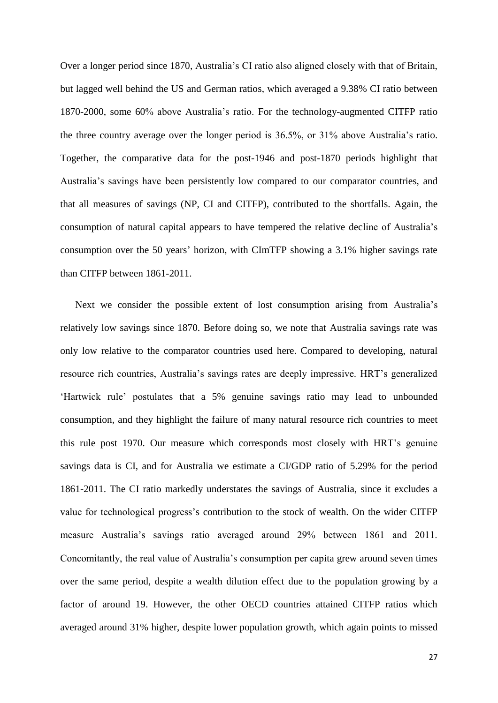Over a longer period since 1870, Australia's CI ratio also aligned closely with that of Britain, but lagged well behind the US and German ratios, which averaged a 9.38% CI ratio between 1870-2000, some 60% above Australia's ratio. For the technology-augmented CITFP ratio the three country average over the longer period is 36.5%, or 31% above Australia's ratio. Together, the comparative data for the post-1946 and post-1870 periods highlight that Australia's savings have been persistently low compared to our comparator countries, and that all measures of savings (NP, CI and CITFP), contributed to the shortfalls. Again, the consumption of natural capital appears to have tempered the relative decline of Australia's consumption over the 50 years' horizon, with CImTFP showing a 3.1% higher savings rate than CITFP between 1861-2011.

Next we consider the possible extent of lost consumption arising from Australia's relatively low savings since 1870. Before doing so, we note that Australia savings rate was only low relative to the comparator countries used here. Compared to developing, natural resource rich countries, Australia's savings rates are deeply impressive. HRT's generalized 'Hartwick rule' postulates that a 5% genuine savings ratio may lead to unbounded consumption, and they highlight the failure of many natural resource rich countries to meet this rule post 1970. Our measure which corresponds most closely with HRT's genuine savings data is CI, and for Australia we estimate a CI/GDP ratio of 5.29% for the period 1861-2011. The CI ratio markedly understates the savings of Australia, since it excludes a value for technological progress's contribution to the stock of wealth. On the wider CITFP measure Australia's savings ratio averaged around 29% between 1861 and 2011. Concomitantly, the real value of Australia's consumption per capita grew around seven times over the same period, despite a wealth dilution effect due to the population growing by a factor of around 19. However, the other OECD countries attained CITFP ratios which averaged around 31% higher, despite lower population growth, which again points to missed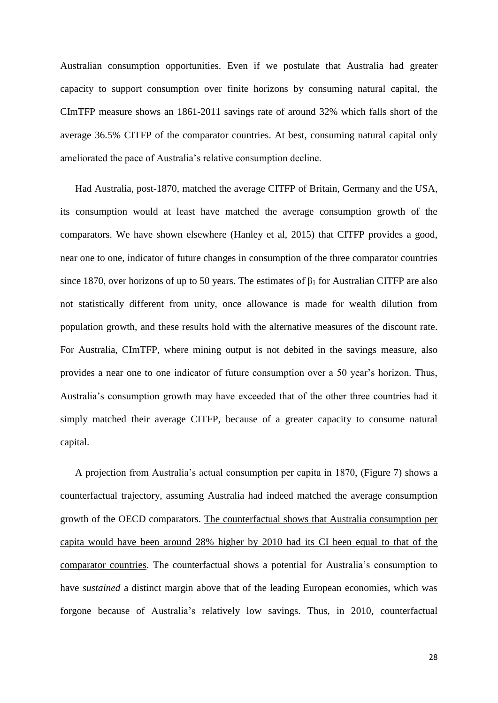Australian consumption opportunities. Even if we postulate that Australia had greater capacity to support consumption over finite horizons by consuming natural capital, the CImTFP measure shows an 1861-2011 savings rate of around 32% which falls short of the average 36.5% CITFP of the comparator countries. At best, consuming natural capital only ameliorated the pace of Australia's relative consumption decline.

Had Australia, post-1870, matched the average CITFP of Britain, Germany and the USA, its consumption would at least have matched the average consumption growth of the comparators. We have shown elsewhere (Hanley et al, 2015) that CITFP provides a good, near one to one, indicator of future changes in consumption of the three comparator countries since 1870, over horizons of up to 50 years. The estimates of  $\beta_1$  for Australian CITFP are also not statistically different from unity, once allowance is made for wealth dilution from population growth, and these results hold with the alternative measures of the discount rate. For Australia, CImTFP, where mining output is not debited in the savings measure, also provides a near one to one indicator of future consumption over a 50 year's horizon. Thus, Australia's consumption growth may have exceeded that of the other three countries had it simply matched their average CITFP, because of a greater capacity to consume natural capital.

A projection from Australia's actual consumption per capita in 1870, (Figure 7) shows a counterfactual trajectory, assuming Australia had indeed matched the average consumption growth of the OECD comparators. The counterfactual shows that Australia consumption per capita would have been around 28% higher by 2010 had its CI been equal to that of the comparator countries. The counterfactual shows a potential for Australia's consumption to have *sustained* a distinct margin above that of the leading European economies, which was forgone because of Australia's relatively low savings. Thus, in 2010, counterfactual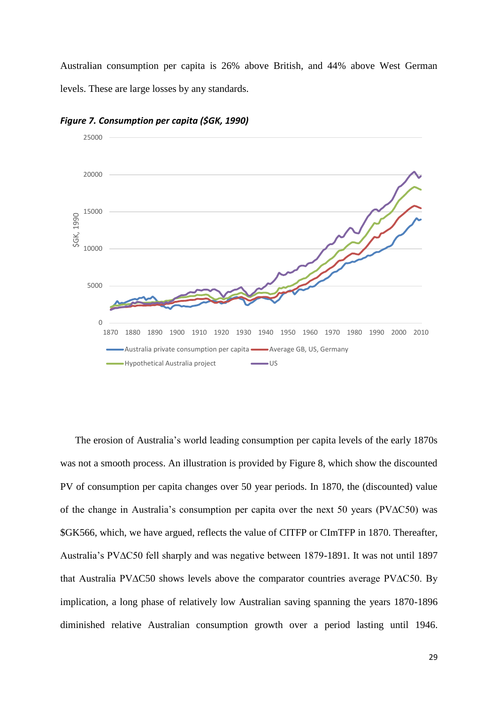Australian consumption per capita is 26% above British, and 44% above West German levels. These are large losses by any standards.



*Figure 7. Consumption per capita (\$GK, 1990)*

The erosion of Australia's world leading consumption per capita levels of the early 1870s was not a smooth process. An illustration is provided by Figure 8, which show the discounted PV of consumption per capita changes over 50 year periods. In 1870, the (discounted) value of the change in Australia's consumption per capita over the next 50 years (PV∆C50) was \$GK566, which, we have argued, reflects the value of CITFP or CImTFP in 1870. Thereafter, Australia's PV∆C50 fell sharply and was negative between 1879-1891. It was not until 1897 that Australia PV∆C50 shows levels above the comparator countries average PV∆C50. By implication, a long phase of relatively low Australian saving spanning the years 1870-1896 diminished relative Australian consumption growth over a period lasting until 1946.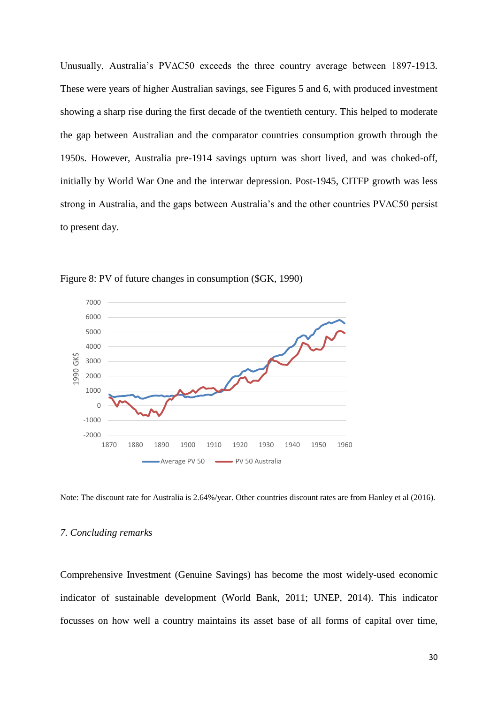Unusually, Australia's PV∆C50 exceeds the three country average between 1897-1913. These were years of higher Australian savings, see Figures 5 and 6, with produced investment showing a sharp rise during the first decade of the twentieth century. This helped to moderate the gap between Australian and the comparator countries consumption growth through the 1950s. However, Australia pre-1914 savings upturn was short lived, and was choked-off, initially by World War One and the interwar depression. Post-1945, CITFP growth was less strong in Australia, and the gaps between Australia's and the other countries PV∆C50 persist to present day.



Figure 8: PV of future changes in consumption (\$GK, 1990)

Note: The discount rate for Australia is 2.64%/year. Other countries discount rates are from Hanley et al (2016).

#### *7. Concluding remarks*

Comprehensive Investment (Genuine Savings) has become the most widely-used economic indicator of sustainable development (World Bank, 2011; UNEP, 2014). This indicator focusses on how well a country maintains its asset base of all forms of capital over time,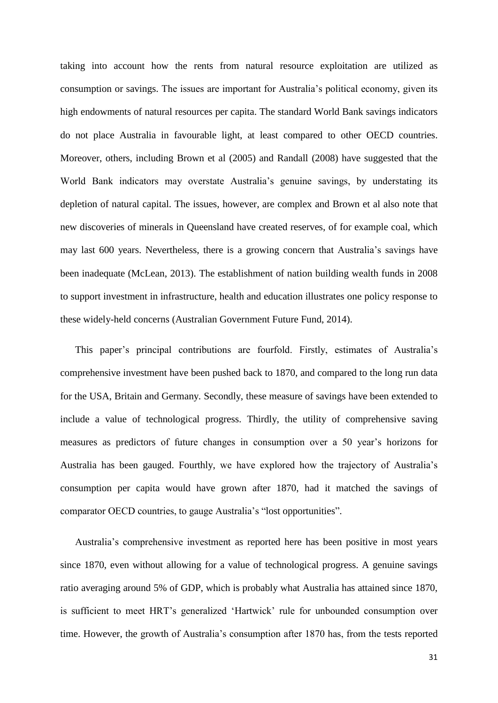taking into account how the rents from natural resource exploitation are utilized as consumption or savings. The issues are important for Australia's political economy, given its high endowments of natural resources per capita. The standard World Bank savings indicators do not place Australia in favourable light, at least compared to other OECD countries. Moreover, others, including Brown et al (2005) and Randall (2008) have suggested that the World Bank indicators may overstate Australia's genuine savings, by understating its depletion of natural capital. The issues, however, are complex and Brown et al also note that new discoveries of minerals in Queensland have created reserves, of for example coal, which may last 600 years. Nevertheless, there is a growing concern that Australia's savings have been inadequate (McLean, 2013). The establishment of nation building wealth funds in 2008 to support investment in infrastructure, health and education illustrates one policy response to these widely-held concerns (Australian Government Future Fund, 2014).

This paper's principal contributions are fourfold. Firstly, estimates of Australia's comprehensive investment have been pushed back to 1870, and compared to the long run data for the USA, Britain and Germany. Secondly, these measure of savings have been extended to include a value of technological progress. Thirdly, the utility of comprehensive saving measures as predictors of future changes in consumption over a 50 year's horizons for Australia has been gauged. Fourthly, we have explored how the trajectory of Australia's consumption per capita would have grown after 1870, had it matched the savings of comparator OECD countries, to gauge Australia's "lost opportunities".

Australia's comprehensive investment as reported here has been positive in most years since 1870, even without allowing for a value of technological progress. A genuine savings ratio averaging around 5% of GDP, which is probably what Australia has attained since 1870, is sufficient to meet HRT's generalized 'Hartwick' rule for unbounded consumption over time. However, the growth of Australia's consumption after 1870 has, from the tests reported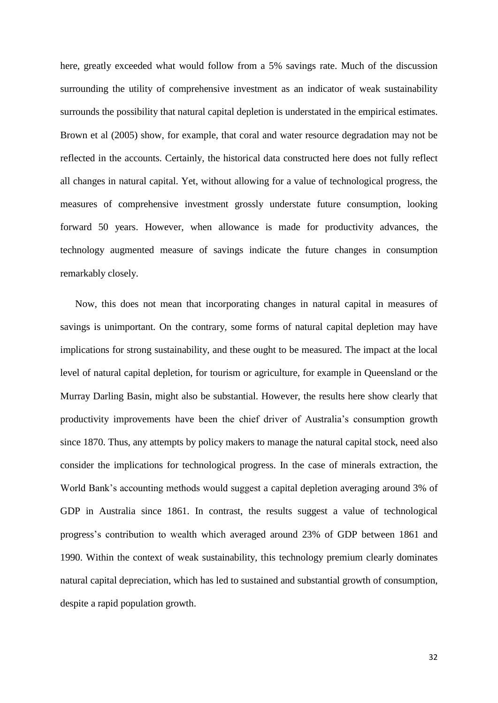here, greatly exceeded what would follow from a 5% savings rate. Much of the discussion surrounding the utility of comprehensive investment as an indicator of weak sustainability surrounds the possibility that natural capital depletion is understated in the empirical estimates. Brown et al (2005) show, for example, that coral and water resource degradation may not be reflected in the accounts. Certainly, the historical data constructed here does not fully reflect all changes in natural capital. Yet, without allowing for a value of technological progress, the measures of comprehensive investment grossly understate future consumption, looking forward 50 years. However, when allowance is made for productivity advances, the technology augmented measure of savings indicate the future changes in consumption remarkably closely.

Now, this does not mean that incorporating changes in natural capital in measures of savings is unimportant. On the contrary, some forms of natural capital depletion may have implications for strong sustainability, and these ought to be measured. The impact at the local level of natural capital depletion, for tourism or agriculture, for example in Queensland or the Murray Darling Basin, might also be substantial. However, the results here show clearly that productivity improvements have been the chief driver of Australia's consumption growth since 1870. Thus, any attempts by policy makers to manage the natural capital stock, need also consider the implications for technological progress. In the case of minerals extraction, the World Bank's accounting methods would suggest a capital depletion averaging around 3% of GDP in Australia since 1861. In contrast, the results suggest a value of technological progress's contribution to wealth which averaged around 23% of GDP between 1861 and 1990. Within the context of weak sustainability, this technology premium clearly dominates natural capital depreciation, which has led to sustained and substantial growth of consumption, despite a rapid population growth.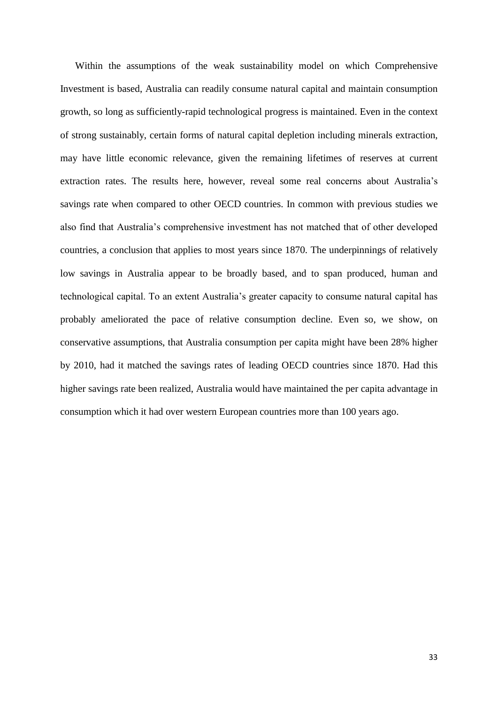Within the assumptions of the weak sustainability model on which Comprehensive Investment is based, Australia can readily consume natural capital and maintain consumption growth, so long as sufficiently-rapid technological progress is maintained. Even in the context of strong sustainably, certain forms of natural capital depletion including minerals extraction, may have little economic relevance, given the remaining lifetimes of reserves at current extraction rates. The results here, however, reveal some real concerns about Australia's savings rate when compared to other OECD countries. In common with previous studies we also find that Australia's comprehensive investment has not matched that of other developed countries, a conclusion that applies to most years since 1870. The underpinnings of relatively low savings in Australia appear to be broadly based, and to span produced, human and technological capital. To an extent Australia's greater capacity to consume natural capital has probably ameliorated the pace of relative consumption decline. Even so, we show, on conservative assumptions, that Australia consumption per capita might have been 28% higher by 2010, had it matched the savings rates of leading OECD countries since 1870. Had this higher savings rate been realized, Australia would have maintained the per capita advantage in consumption which it had over western European countries more than 100 years ago.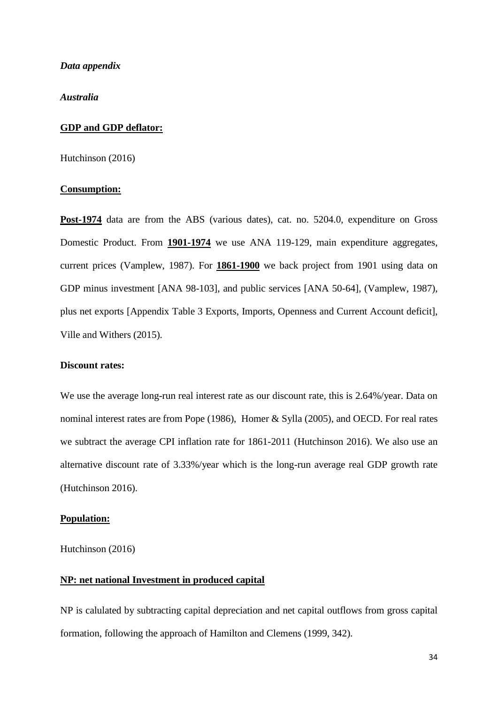#### *Data appendix*

*Australia*

#### **GDP and GDP deflator:**

Hutchinson (2016)

#### **Consumption:**

**Post-1974** data are from the ABS (various dates), cat. no. 5204.0, expenditure on Gross Domestic Product. From **1901-1974** we use ANA 119-129, main expenditure aggregates, current prices (Vamplew, 1987). For **1861-1900** we back project from 1901 using data on GDP minus investment [ANA 98-103], and public services [ANA 50-64], (Vamplew, 1987), plus net exports [Appendix Table 3 Exports, Imports, Openness and Current Account deficit], Ville and Withers (2015).

#### **Discount rates:**

We use the average long-run real interest rate as our discount rate, this is 2.64%/year. Data on nominal interest rates are from Pope (1986), Homer & Sylla (2005), and OECD. For real rates we subtract the average CPI inflation rate for 1861-2011 (Hutchinson 2016). We also use an alternative discount rate of 3.33%/year which is the long-run average real GDP growth rate (Hutchinson 2016).

#### **Population:**

Hutchinson (2016)

## **NP: net national Investment in produced capital**

NP is calulated by subtracting capital depreciation and net capital outflows from gross capital formation, following the approach of Hamilton and Clemens (1999, 342).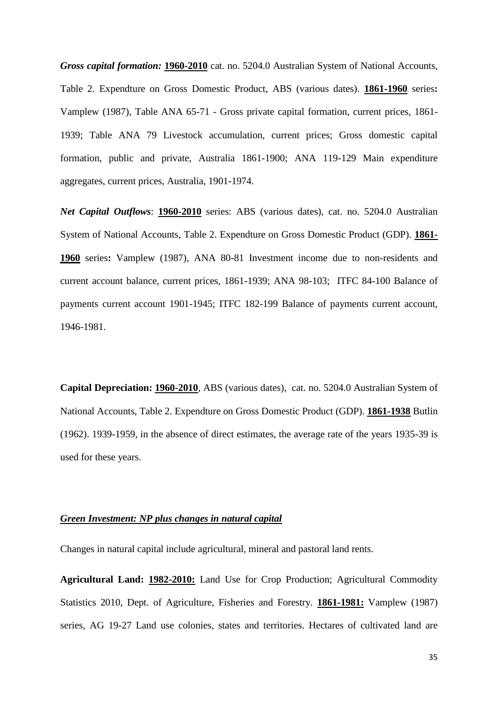*Gross capital formation:* **1960-2010** cat. no. 5204.0 Australian System of National Accounts, Table 2. Expendture on Gross Domestic Product, ABS (various dates). **1861-1960** series**:** Vamplew (1987), Table ANA 65-71 - Gross private capital formation, current prices, 1861- 1939; Table ANA 79 Livestock accumulation, current prices; Gross domestic capital formation, public and private, Australia 1861-1900; ANA 119-129 Main expenditure aggregates, current prices, Australia, 1901-1974.

*Net Capital Outflows*: **1960-2010** series: ABS (various dates), cat. no. 5204.0 Australian System of National Accounts, Table 2. Expendture on Gross Domestic Product (GDP). **1861- 1960** series**:** Vamplew (1987), ANA 80-81 Investment income due to non-residents and current account balance, current prices, 1861-1939; ANA 98-103; ITFC 84-100 Balance of payments current account 1901-1945; ITFC 182-199 Balance of payments current account, 1946-1981.

**Capital Depreciation: 1960-2010**, ABS (various dates), cat. no. 5204.0 Australian System of National Accounts, Table 2. Expendture on Gross Domestic Product (GDP). **1861-1938** Butlin (1962). 1939-1959, in the absence of direct estimates, the average rate of the years 1935-39 is used for these years.

## *Green Investment: NP plus changes in natural capital*

Changes in natural capital include agricultural, mineral and pastoral land rents.

**Agricultural Land: 1982-2010:** Land Use for Crop Production; Agricultural Commodity Statistics 2010, Dept. of Agriculture, Fisheries and Forestry. **1861-1981:** Vamplew (1987) series, AG 19-27 Land use colonies, states and territories. Hectares of cultivated land are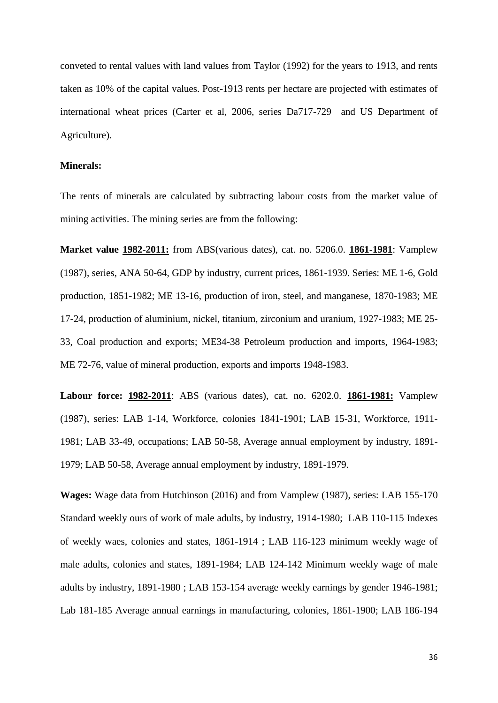conveted to rental values with land values from Taylor (1992) for the years to 1913, and rents taken as 10% of the capital values. Post-1913 rents per hectare are projected with estimates of international wheat prices (Carter et al, 2006, series Da717-729 and US Department of Agriculture).

#### **Minerals:**

The rents of minerals are calculated by subtracting labour costs from the market value of mining activities. The mining series are from the following:

**Market value 1982-2011:** from ABS(various dates), cat. no. 5206.0. **1861-1981**: Vamplew (1987), series, ANA 50-64, GDP by industry, current prices, 1861-1939. Series: ME 1-6, Gold production, 1851-1982; ME 13-16, production of iron, steel, and manganese, 1870-1983; ME 17-24, production of aluminium, nickel, titanium, zirconium and uranium, 1927-1983; ME 25- 33, Coal production and exports; ME34-38 Petroleum production and imports, 1964-1983; ME 72-76, value of mineral production, exports and imports 1948-1983.

**Labour force: 1982-2011**: ABS (various dates), cat. no. 6202.0. **1861-1981:** Vamplew (1987), series: LAB 1-14, Workforce, colonies 1841-1901; LAB 15-31, Workforce, 1911- 1981; LAB 33-49, occupations; LAB 50-58, Average annual employment by industry, 1891- 1979; LAB 50-58, Average annual employment by industry, 1891-1979.

**Wages:** Wage data from Hutchinson (2016) and from Vamplew (1987), series: LAB 155-170 Standard weekly ours of work of male adults, by industry, 1914-1980; LAB 110-115 Indexes of weekly waes, colonies and states, 1861-1914 ; LAB 116-123 minimum weekly wage of male adults, colonies and states, 1891-1984; LAB 124-142 Minimum weekly wage of male adults by industry, 1891-1980 ; LAB 153-154 average weekly earnings by gender 1946-1981; Lab 181-185 Average annual earnings in manufacturing, colonies, 1861-1900; LAB 186-194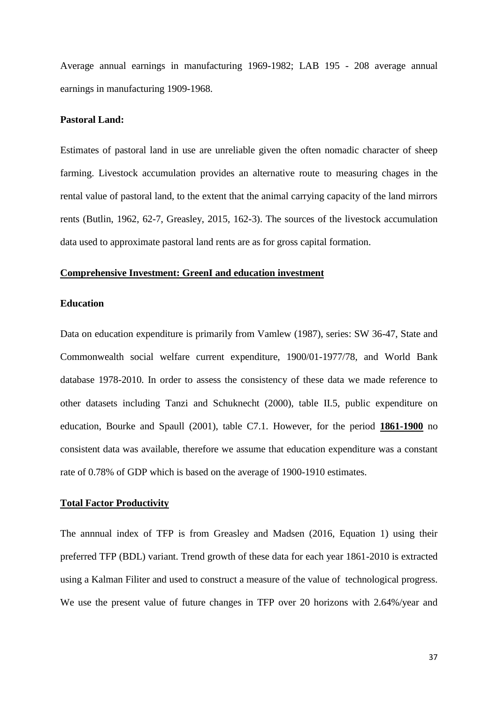Average annual earnings in manufacturing 1969-1982; LAB 195 - 208 average annual earnings in manufacturing 1909-1968.

#### **Pastoral Land:**

Estimates of pastoral land in use are unreliable given the often nomadic character of sheep farming. Livestock accumulation provides an alternative route to measuring chages in the rental value of pastoral land, to the extent that the animal carrying capacity of the land mirrors rents (Butlin, 1962, 62-7, Greasley, 2015, 162-3). The sources of the livestock accumulation data used to approximate pastoral land rents are as for gross capital formation.

#### **Comprehensive Investment: GreenI and education investment**

#### **Education**

Data on education expenditure is primarily from Vamlew (1987), series: SW 36-47, State and Commonwealth social welfare current expenditure, 1900/01-1977/78, and World Bank database 1978-2010. In order to assess the consistency of these data we made reference to other datasets including Tanzi and Schuknecht (2000), table II.5, public expenditure on education, Bourke and Spaull (2001), table C7.1. However, for the period **1861-1900** no consistent data was available, therefore we assume that education expenditure was a constant rate of 0.78% of GDP which is based on the average of 1900-1910 estimates.

#### **Total Factor Productivity**

The annnual index of TFP is from Greasley and Madsen (2016, Equation 1) using their preferred TFP (BDL) variant. Trend growth of these data for each year 1861-2010 is extracted using a Kalman Filiter and used to construct a measure of the value of technological progress. We use the present value of future changes in TFP over 20 horizons with 2.64%/year and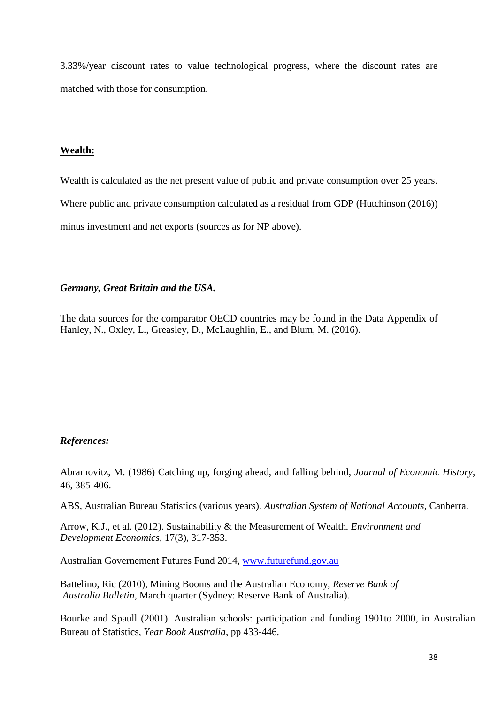3.33%/year discount rates to value technological progress, where the discount rates are matched with those for consumption.

## **Wealth:**

Wealth is calculated as the net present value of public and private consumption over 25 years. Where public and private consumption calculated as a residual from GDP (Hutchinson (2016)) minus investment and net exports (sources as for NP above).

## *Germany, Great Britain and the USA.*

The data sources for the comparator OECD countries may be found in the Data Appendix of Hanley, N., Oxley, L., Greasley, D., McLaughlin, E., and Blum, M. (2016).

## *References:*

Abramovitz, M. (1986) Catching up, forging ahead, and falling behind, *Journal of Economic History*, 46, 385-406.

ABS, Australian Bureau Statistics (various years). *Australian System of National Accounts*, Canberra.

Arrow, K.J., et al. (2012). Sustainability & the Measurement of Wealth*. Environment and Development Economics,* 17(3), 317-353.

Australian Governement Futures Fund 2014, [www.futurefund.gov.au](http://www.futurefund.gov.au/)

Battelino, Ric (2010), Mining Booms and the Australian Economy, *Reserve Bank of Australia Bulletin*, March quarter (Sydney: Reserve Bank of Australia).

Bourke and Spaull (2001). Australian schools: participation and funding 1901to 2000, in Australian Bureau of Statistics, *Year Book Australia*, pp 433-446.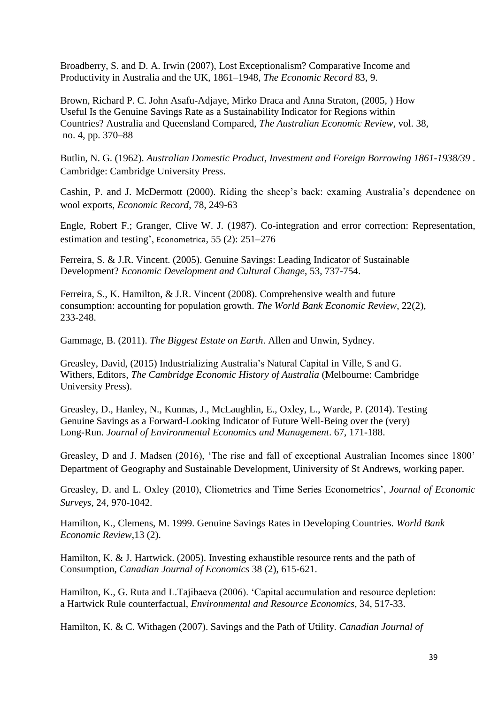Broadberry, S. and D. A. Irwin (2007), Lost Exceptionalism? Comparative Income and Productivity in Australia and the UK, 1861–1948, *The Economic Record* 83, 9.

Brown, Richard P. C. John Asafu-Adjaye, Mirko Draca and Anna Straton, (2005, ) How Useful Is the Genuine Savings Rate as a Sustainability Indicator for Regions within Countries? Australia and Queensland Compared, *The Australian Economic Review*, vol. 38, no. 4, pp. 370–88

Butlin, N. G. (1962). *Australian Domestic Product, Investment and Foreign Borrowing 1861-1938/39* . Cambridge: Cambridge University Press.

Cashin, P. and J. McDermott (2000). Riding the sheep's back: examing Australia's dependence on wool exports, *Economic Record*, 78, 249-63

Engle, Robert F.; Granger, Clive W. J. (1987). Co-integration and error correction: Representation, estimation and testing', [Econometrica](http://en.wikipedia.org/wiki/Econometrica), 55 (2): 251–276

Ferreira, S. & J.R. Vincent. (2005). Genuine Savings: Leading Indicator of Sustainable Development? *Economic Development and Cultural Change*, 53, 737-754.

Ferreira, S., K. Hamilton, & J.R. Vincent (2008). Comprehensive wealth and future consumption: accounting for population growth. *The World Bank Economic Review*, 22(2), 233-248.

Gammage, B. (2011). *The Biggest Estate on Earth*. Allen and Unwin, Sydney.

Greasley, David, (2015) Industrializing Australia's Natural Capital in Ville, S and G. Withers, Editors, *The Cambridge Economic History of Australia* (Melbourne: Cambridge University Press).

Greasley, D., Hanley, N., Kunnas, J., McLaughlin, E., Oxley, L., Warde, P. (2014). Testing Genuine Savings as a Forward-Looking Indicator of Future Well-Being over the (very) Long-Run. *Journal of Environmental Economics and Management*. 67, 171-188.

Greasley, D and J. Madsen (2016), 'The rise and fall of exceptional Australian Incomes since 1800' Department of Geography and Sustainable Development, Uiniversity of St Andrews, working paper.

Greasley, D. and L. Oxley (2010), Cliometrics and Time Series Econometrics', *Journal of Economic Surveys*, 24, 970-1042.

Hamilton, K., Clemens, M. 1999. Genuine Savings Rates in Developing Countries. *World Bank Economic Review*,13 (2).

Hamilton, K. & J. Hartwick. (2005). Investing exhaustible resource rents and the path of Consumption, *Canadian Journal of Economics* 38 (2), 615-621.

Hamilton, K., G. Ruta and L.Tajibaeva (2006). 'Capital accumulation and resource depletion: a Hartwick Rule counterfactual, *Environmental and Resource Economics*, 34, 517-33.

Hamilton, K. & C. Withagen (2007). Savings and the Path of Utility. *Canadian Journal of*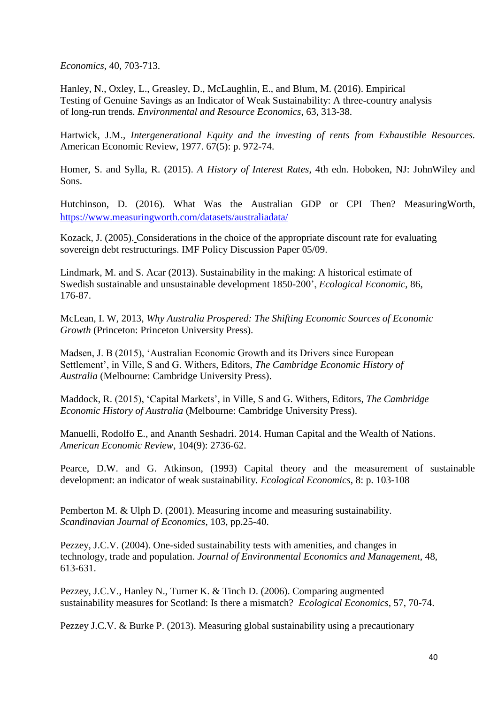*Economics,* 40, 703-713.

Hanley, N., Oxley, L., Greasley, D., McLaughlin, E., and Blum, M. (2016). Empirical Testing of Genuine Savings as an Indicator of Weak Sustainability: A three-country analysis of long-run trends. *Environmental and Resource Economics*, 63, 313-38.

Hartwick, J.M., *Intergenerational Equity and the investing of rents from Exhaustible Resources.* American Economic Review, 1977. 67(5): p. 972-74.

Homer, S. and Sylla, R. (2015). *A History of Interest Rates*, 4th edn. Hoboken, NJ: JohnWiley and Sons.

Hutchinson, D. (2016). What Was the Australian GDP or CPI Then? MeasuringWorth, <https://www.measuringworth.com/datasets/australiadata/>

Kozack, J. (2005). Considerations in the choice of the appropriate discount rate for evaluating sovereign debt restructurings. IMF Policy Discussion Paper 05/09.

Lindmark, M. and S. Acar (2013). Sustainability in the making: A historical estimate of Swedish sustainable and unsustainable development 1850-200', *Ecological Economic*, 86, 176-87.

McLean, I. W, 2013, *Why Australia Prospered: The Shifting Economic Sources of Economic Growth* (Princeton: Princeton University Press).

Madsen, J. B (2015), 'Australian Economic Growth and its Drivers since European Settlement', in Ville, S and G. Withers, Editors, *The Cambridge Economic History of Australia* (Melbourne: Cambridge University Press).

Maddock, R. (2015), 'Capital Markets', in Ville, S and G. Withers, Editors, *The Cambridge Economic History of Australia* (Melbourne: Cambridge University Press).

Manuelli, Rodolfo E., and Ananth Seshadri. 2014. Human Capital and the Wealth of Nations. *American Economic Review*, 104(9): 2736-62.

Pearce, D.W. and G. Atkinson, (1993) Capital theory and the measurement of sustainable development: an indicator of weak sustainability*. Ecological Economics*, 8: p. 103-108

Pemberton M. & Ulph D. (2001). Measuring income and measuring sustainability. *Scandinavian Journal of Economics*, 103, pp.25-40.

Pezzey, J.C.V. (2004). One-sided sustainability tests with amenities, and changes in technology, trade and population. *Journal of Environmental Economics and Management*, 48, 613-631.

Pezzey, J.C.V., Hanley N., Turner K. & Tinch D. (2006). Comparing augmented sustainability measures for Scotland: Is there a mismatch? *Ecological Economics*, 57, 70-74.

Pezzey J.C.V. & Burke P. (2013). Measuring global sustainability using a precautionary